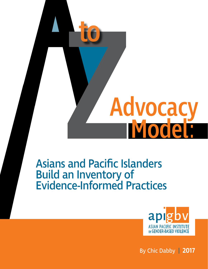

# Asians and Pacific Islanders Build an Inventory of Evidence-Informed Practices



By Chic Dabby | **2017**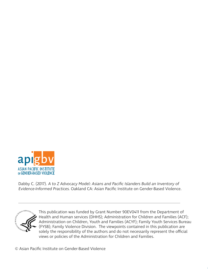

Dabby C. (2017). A to Z Advocacy Model: Asians and Pacific Islanders Build an Inventory of Evidence-Informed Practices. Oakland CA: Asian Pacific Institute on Gender-Based Violence.



This publication was funded by Grant Number 90EV0411 from the Department of Health and Human services (DHHS); Administration for Children and Families (ACF); Administration on Children, Youth and Families (ACYF); Family Youth Services Bureau (FYSB); Family Violence Division. The viewpoints contained in this publication are solely the responsibility of the authors and do not necessarily represent the official views or policies of the Administration for Children and Families.

© Asian Pacific Institute on Gender-Based Violence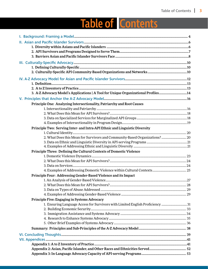# Table of Contents

| 3. A-Z Advocacy Model's Applications   A Tool for Unique Organizational Profiles14 |  |
|------------------------------------------------------------------------------------|--|
|                                                                                    |  |
| Principle One: Analyzing Intersectionality, Patriarchy and Root Causes             |  |
|                                                                                    |  |
|                                                                                    |  |
|                                                                                    |  |
|                                                                                    |  |
| Principle Two: Serving Inter- and Intra-API Ethnic and Linguistic Diversity        |  |
|                                                                                    |  |
| 2. What Does this Mean for Survivors and Community-Based Organizations?  20        |  |
|                                                                                    |  |
|                                                                                    |  |
| Principle Three: Defining the Cultural Contexts of Domestic Violence               |  |
|                                                                                    |  |
|                                                                                    |  |
|                                                                                    |  |
| Principle Four: Addressing Gender-Based Violence and its Impact                    |  |
|                                                                                    |  |
|                                                                                    |  |
|                                                                                    |  |
|                                                                                    |  |
| Principle Five: Engaging in Systems Advocacy                                       |  |
| 1. Ensuring Language Access for Survivors with Limited English Proficiency 31      |  |
|                                                                                    |  |
|                                                                                    |  |
|                                                                                    |  |
|                                                                                    |  |
|                                                                                    |  |
|                                                                                    |  |
|                                                                                    |  |
|                                                                                    |  |
|                                                                                    |  |
|                                                                                    |  |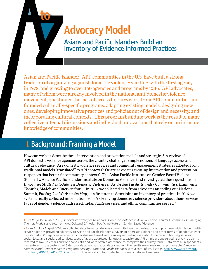# Advocacy Model

Asian and Pacific Islander (API) communities in the U.S. have built a strong tradition of organizing against domestic violence: starting with the first agency in 1978, and growing to over 160 agencies and programs by 2016. API advocates, many of whom were already involved in the national anti-domestic violence movement, questioned the lack of access for survivors from API communities and founded culturally-specific programs: adapting existing models, designing new ones, developing innovative practices and policies out of design and necessity, and incorporating cultural contexts. This program building work is the result of many collective internal discussions and individual innovations that rely on an intimate knowledge of communities. **Advocacy Model**<br>Asians and Pacific Islanders Build an<br>Inventory of Evidence-Informed Practices<br>and Pacific Islander (API) communities in the U.S. have built a stre<br>ition of organizing against domestic violence: starting w

# **I. Background: Framing a Model** I. Background: Framing a Model

to

How can we best describe these intervention and prevention models and strategies? A review of API domestic violence agencies across the country challenges simple notions of language access and cultural relevance. Are domestic violence services and community engagement strategies adopted from traditional models "translated" to API contexts? Or are advocates creating intervention and prevention responses that better fit community contexts? The Asian Pacific Institute on Gender-Based Violence (formerly, Asian & Pacific Islander Institute on Domestic Violence) first investigated these questions in *Innovative Strategies to Address Domestic Violence in Asian and Pacific Islander Communities: Examining Theories, Models and Interventions.*<sup>1</sup> In 2013, we collected data from advocates attending our National Summit, *Putting Our Work on the Map*, as a first step to describing an inventory of practice. In 2016, we systematically collected information from API-serving domestic violence providers about their services, types of gender violence addressed, in-language services, and ethnic communities served.<sup>2</sup>

<sup>1</sup> Kim M. (2002, revised 2010). Innovative Strategies to Address Domestic Violence in Asian & Pacific Islander Communities: Emerging Themes, Models and Interventions. Oakland CA: Asian Pacific Institute on Gender-Based Violence.

<sup>2</sup> From April to August 2016, we collected data from stand-alone community-based organizations and programs within larger multiservice agencies providing advocacy to Asian and Pacific Islander survivors of domestic violence and other forms of gender violence. Key staff at 200+ agencies received an individualized email with a survey requesting data about shelter and housing services, social, legal and specialized services, types of abuse addressed, language capacity and API ethnic groups served. Survey recipients received follow-up emails and/or phone calls and were offered assistance to complete their survey form. Data from all respondents was entered into a customized Salesforce database, and after data cleaning, the results were analyzed to produce the Directory of Domestic and Gender Violence Programs Serving Asians and Pacific Islanders with a total of 160 listings. [http://www.api-gbv.org/](http://www.api-gbv.org/download/2016.12.8 API-GBV Directory.pdf) [download/2016.12.8 API-GBV Directory.pdf](http://www.api-gbv.org/download/2016.12.8 API-GBV Directory.pdf) This report contains selected summary data and analyses.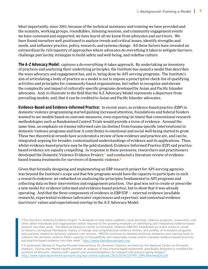Most importantly, since 2001, because of the technical assistance and training we have provided and the summits, working groups, roundtables, listening sessions, and community engagement events we have convened and supported, we have learnt all we know from advocates and survivors. We have found ourselves well positioned to analyze trends and critical issues, identify strengths and needs, and influence practice, policy, research, and systems change. All these factors have revealed an extraordinarily rich tapestry of approaches where advocates do everything it takes to mitigate barriers, challenge patriarchy, strategize to build safety and well-being, and redefine culture.

**The A-Z Advocacy Model**: captures a do-everything-it-takes approach. By undertaking an inventory of practices and analyzing their underlying principles, the Institute has named a model that describes the ways advocacy and engagement has, and is, being done by API-serving programs. The Institute's aim of articulating a body of practice as a model is not to impose a prescriptive check-list of qualifying activities and principles for community-based organizations, but rather to recognize and elevate the complexity and impact of culturally-specific programs developed by Asian and Pacific Islander advocates. And, to illustrate to the field that the A-Z Advocacy Model represents a departure from prevailing models, and, that it can be credited to Asian and Pacific Islander advocates.

**Evidence-Based and Evidence-Informed Practice**: In recent years, as evidence-based practice (EBP) in domestic violence programming started gaining increased attention, foundations and federal funders wanted to see models based on outcome measures, even expecting (at times) that conventional research methodologies such as Randomized Control Trials would provide a trove of evidence. Around the same time, an emphasis on trauma-informed care (as distinct from trauma-specific interventions) in domestic violence programs and how it contributes to emotional and social well-being started to grow. These two theoretical strands have accelerated a review of how evidence and practice are, and can be, integrated; arguing for broader, contextualized understandings of evidence and its applications. Thus, whilst evidence-based practice may be the gold standard, Evidence-Informed Practice (EIP) and practicebased evidence are equally compelling. In response to these pressures, researchers and practitioners developed the Domestic Violence Evidence Project;<sup>3</sup> and conducted a literature review of evidencebased trauma treatments for survivors of domestic violence. 4

Given that formally designing and implementing an EBP research project for API-serving agencies was beyond the Institute's scope and that few programs would have the capacity to participate in such a research endeavor, we embarked on analyzing the principles fundamental to API programs and collecting data on their intervention and engagement practices. Our goal was not to create or prescribe a new model for evidence-informed and evidence-based practice, but to show that it was already operating. And that the three components of evidence in EBP/EIP — external evidence (available research), experiential evidence (advocates' experiences and expertise), and contextual evidence (survivors' values and expectations) overlap in the A-Z Advocacy Model.

<sup>4</sup> A Systematic Review of Trauma-Focused Interventions for Domestic Violence Survivors by the National Center on Domestic Violence, Trauma and Mental Health provides an analysis of nine trauma-based treatments specifically designed or modified for survivors of domestic violence with caveats and recommendations for research and practice going forward. [http://www.nationalcenterdvtraumamh.org/wp-content/uploads/2013/03/NCDVTMH\\_EBPLitReview2013.pdf](http://www.nationalcenterdvtraumamh.org/wp-content/uploads/2013/03/NCDVTMH_EBPLitReview2013.pdf ) 

<sup>3</sup> The Domestic Violence Evidence Project "is designed to help state coalitions, local domestic violence programs, researchers, and other allied individuals and organizations better respond to the growing emphasis on identifying and integrating evidence-based practice into their work. The National Resource Center on Domestic Violence (NRCDV) established an online resource center to house a conceptual framework, theory of change and comprehensive evidence reviews, and profiles of innovative programs and practices related to domestic violence core services. NRCDV continues to develop technical assistance and training tools to enhance the domestic violence field's capacity to thoughtfully and responsibly review and/or translate evidence-based practices and practice-based evidence into their work." [http://www.dvevidenceproject.org.](http://www.dvevidenceproject.org)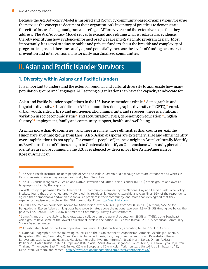Because the A-Z Advocacy Model is inspired and grown by community-based organizations, we urge them to use the concept to document their organization's inventory of practices to demonstrate the critical issues facing immigrant and refugee API survivors and the extensive scope that they address. The A-Z Advocacy Model serves to expand and reframe what is regarded as evidence, thereby identifying how evidence-informed practices are integrated into program design. Most importantly, it is a tool to educate public and private funders about the breadth and complexity of program design; and therefore analyze, and potentially increase the levels of funding necessary to prevention and intervention in historically marginalized communities.

# II. Asian and Pacific Islander Survivors

#### **1. Diversity within Asians and Pacific Islanders**

It is important to understand the extent of regional and cultural diversity to appreciate how many population groups and languages API-serving organizations can have the capacity to advocate for.

Asian and Pacific Islander populations in the U.S. have tremendous ethnic,<sup>5</sup> demographic, and linguistic diversity. • In addition to API communities' demographic diversity of LGBTQ,<sup>7</sup> rural, urban, youth, elderly, first- and multi-generation immigrants, and refugees; there is significant variation in socioeconomic status<sup>8</sup> and acculturation levels, depending on education,<sup>9</sup> English fluency,10 employment, family and community support, health, and well-being.

Asia has more than 40 countries<sup>11</sup> and there are many more ethnicities than countries, e.g., the Hmong are an ethnic group from Laos. Also, Asian diasporas are extremely large and ethnic identity oversimplifications do not apply. For example, people of Japanese origin in Brazil culturally identify as Brazilians, those of Chinese origin in Guatemala identify as Guatemalans; whereas hyphenated identities are more common in the U.S. as evidenced by descriptors like Asian-American or Korean-American.

<sup>5</sup> The Asian Pacific Institute includes people of Arab and Middle Eastern origin (though Arabs are categorized as Whites in Census) as Asians, since they are geographically from West Asia.

<sup>6</sup> The U.S. Census recognizes 20 Asian and Native Hawaiian and Other Pacific Islander (NHOPI) ethnic groups and over 100 languages spoken by these groups.

<sup>7</sup> A 2005 study of pan-Asian Pacific American LGBT community members by the National Gay and Lesbian Task Force Policy Institute found that they varied greatly along ethnic, religious, language, citizenship and class lines. 96% of the respondents agreed that homophobia and/or transphobia is a problem in their community, and more than 82% agreed that they experienced racism within the white LGBT community. From http:/[/aapidata.com.](http://aapidata.com/)

<sup>8</sup> In 2010, the median household income for Asian Indians was \$86,660 (up from \$78,315 in 2006) but only \$45,953 for Bangladeshis. Eleven Asian ethnic groups have poverty rates above the national average (9.9%); 24.5% Hmong live below the poverty line. Census Bureau, 2007-09 American Community Survey 3-year estimates.

<sup>9</sup> Some Asians are more likely to have graduated college than the general population (29.3% vs. 17.6%), but 4 Southeast Asian groups have some of the lowest educational levels in the nation. U.S. Census Bureau, 2007-09 American Community Survey 3-year estimates.

<sup>10</sup> An estimated 32.4% of the Asian population has limited English proficiency according to the 2010 U.S. Census.

<sup>11</sup> National Geographic lists the following countries on the Asian continent: Afghanistan, Armenia, Azerbaijan, Bahrain, Bangladesh, Bhutan, Cambodia, China, Georgia, India, Indonesia, Iran, Iraq, Israel, Japan, Jordan, Kazakhstan, Kuwait, Kyrgyzstan, Laos, Lebanon, Malaysia, Maldives, Mongolia, Myanmar (Burma), Nepal, North Korea, Oman, Pakistan, Philippines, Qatar, Russia (20% in Europe and 80% in Asia), Saudi Arabia, Singapore, South Korea, Sri Lanka, Syria, Tajikistan, Thailand, Timor-Leste (East Timor), Turkey (20% in Europe and 80% in Asia), Turkmenistan, United Arab Emirates (UAE), Uzbekistan, Vietnam, and Yemen. <http://travel.nationalgeographic.com/travel/continents/asia/>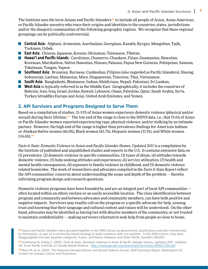The Institute uses the term Asians and Pacific Islanders<sup>12</sup> to include all people of Asian, Asian American, or Pacific Islander ancestry who trace their origins and identities to the countries, states, jurisdictions and/or the diasporic communities of the following geographic regions. We recognize that these regional groupings can be politically controversial.

- **Central Asia**: Afghani, Armenian, Azerbaijani, Georgians, Kazakh, Kyrgyz, Mongolian, Tajik, Turkmen, Uzbek.
- **East Asia**: Chinese, Japanese, Korean, Okinawan, Taiwanese, Tibetan.
- **Hawai'i and Pacific Islands**: Carolinian, Chamorro, Chuukese, Fijian, Guamanian, Hawaiian, Kosraean, Marshallese, Native Hawaiian, Niuean, Palauan, Papua New Guinean, Pohnpeian, Samoan, Tokelauan, Tongan, Yapese.
- **Southeast Asia**: Bruneian, Burmese, Cambodian, Filipino (also regarded as Pacific Islanders), Hmong, Indonesian, Laotian, Malaysian, Mien, Singaporean, Timorese, Thai, Vietnamese.
- **South Asia**: Bangladeshi, Bhutanese, Indian, Maldivians, Nepali, Pakistani, Sri Lankan.
- **West Asia** is typically referred to as the Middle East. Geographically, it includes the countries of Bahrain, Iran, Iraq, Israel, Jordan, Kuwait, Lebanon, Oman, Palestine, Qatar, Saudi Arabia, Syria, Turkey (straddles Europe and Asia), United Arab Emirates, and Yemen.

#### **2. API Survivors and Programs Designed to Serve Them**

Based on a compilation of studies, 21-55% of Asian women experience domestic violence (physical and/or sexual) during their lifetime.<sup>13</sup> The low end of the range is close to the NISVS data, i.e., that 19.6% of Asian or Pacific Islander women reported experiencing rape, physical violence, and/or stalking by an intimate partner. However, the high end of the range is higher than prevalence findings for American Indians or Alaskan Native women (46.0%), Black women (43.7%), Hispanic women (37.1%), and White women  $(34.6\%)$ <sup>14</sup>

*Facts & Stats: Domestic Violence in Asian and Pacific Islander Homes, Updated 2015* is a compilation by the Institute of published and unpublished studies and reports in the U.S. It contains extensive data on (1) prevalence, (2) domestic violence in specific communities, (3) types of abuse, (4) attitudes towards domestic violence, (5) help-seeking attitudes and experiences, (6) service utilization, (7) health and mental health consequences, (8) exposure to family violence in childhood, and (9) domestic violence related homicides. The work of researchers and advocates compiled in the *Facts & Stats Report* reflect the API communities' concerns about understanding the scope and depth of the problem — thereby informing program design and research questions.

Domestic violence programs have been founded by and are an integral part of local API communities often located within an ethnic enclave or an easily accessible location. The close identification between program and community and between advocates and community members, can have both positive and negative impacts. Survivors may readily call on the program or a specific advocate for help, sensing trust and knowing that their language and cultural context and values will be understood. On the other hand, advocates may be identified as having ties with abusive members of the community, or not trusted to maintain confidentiality — making survivors reluctant to seek help from people so close to home.

13 Yoshihama M, Dabby C. (2015). Facts & Stats: Domestic Violence in Asian & Pacific Islander Homes, Updated 2015. Oakland CA: Asian Pacific Institute on Gender-Based Violence. <http://www.api-gbv.org/download/Facts.Stats-APIIDV-2015.pdf>

14 Black M, et al. (2010). The National Intimate Partner and Sexual Violence Survey: 2010 Summary Report. Washington DC: Centers for Disease Control and Prevention.

<sup>12</sup> Asians and Pacific Islanders were grouped together in the 1990 Census by government classifications and also intentionally by themselves, as part of a community-based strategy to build coalitions with one another. In the 2000 Census, they were disaggregated into two separate categories: Asians, and Native Hawaiian and Other Pacific Islanders (NHOPI).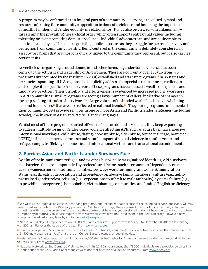#### **8** A-Z Advocacy Model

A program may be embraced as an integral part of a community — serving as a valued symbol and resource affirming the community's opposition to domestic violence and honoring the importance of healthy families and gender equality in relationships. It may also be viewed with antagonism  $$ threatening the prevailing hierarchical order which often supports patriarchal values including tolerating or even promoting domestic violence. Individual advocates can, and are, vulnerable to emotional and physical harm — negotiating public exposure as they struggle for personal privacy and protection from community hostility. Being centered in the community is definitely considered an asset by programs that are most organically linked to the community they represent, but it also carries certain risks.

Nevertheless, organizing around domestic and other forms of gender-based violence has been central to the activism and leadership of API women. There are currently over 160 (up from ~70 programs first counted by the Institute in 2001) established and start-up programs <sup>15</sup> in 36 states and territories, spanning all U.S. regions, that explicitly address the special circumstances, challenges and complexities specific to API survivors. These programs have amassed a wealth of expertise and innovative practices. Their visibility and effectiveness is evidenced by increased public awareness in API communities: small programs are seeing a large number of callers, indicative of changes in the help-seeking attitudes of survivors,<sup>16</sup> a large volume of unfunded work,<sup>17</sup> and an overwhelming demand for services<sup>18</sup> that are also reflected in national trends.<sup>19</sup> They build programs fundamental to their community: 89% provide services in one or more Asian and Pacific Islander languages (including Arabic), 26% in over 10 Asian and Pacific Islander languages.

Whilst most of these programs started off with a focus on domestic violence, they keep expanding to address multiple forms of gender-based violence affecting APIs such as abuse by in-laws, abusive international marriages, child abuse, dating/hook-up abuse, elder abuse, forced marriage, homicide, LGBTQ intimate partner violence, sexual assault, impact of sexual violence in conflict zones and refugee camps, trafficking of domestic and international victims, and transnational abandonment.

#### **2. Barriers Asian and Pacific Islander Survivors Face**

By dint of their immigrant, refugee, and/or other historically marginalized identities, API survivors face barriers that are compounded by sociocultural factors such as economics (dependency on men as sole wage-earners in traditional families, low wage work for immigrant women), immigration status (e.g., threats of deportation and dependency on abusive family members), culture (e.g., tightly prescribed gender roles), religion (e.g., expectations to submit to male authority), systems failure (e.g., in providing interpreters), homophobia, victim-blaming communities, and limited English proficiency.

<sup>15</sup> We were as thorough as possible in identifying programs, and recognize that because of the changing service landscape, we may have missed some. Whilst the Directory prepared in 2016 has 160 listings, there are small grass-roots, often entirely volunteer run (sometimes with just one person), efforts across the country that have not yet developed or do not have the capacity or structure to respond systematically to service requests from survivors; so we have not listed them in the 2016 Directory. However, new listings can be added at any time by contacting [info@api-gbv.org](mailto:info%40api-gbv.org?subject=).

<sup>16</sup> Narika in Berkeley CA responded to over 1,500 calls and emails for support from January 1 to December 31 2015 while working with 200 families over the course of the year. From [www.narika.org](http://www.narika.org/).

<sup>17</sup> In a one-year period, 22 organizations spent a total of 9,200 (mostly volunteer) hours on outreach sessions that reached a total of 31,500 individuals. Asian Pacific Institute on Gender-Based Violence, Unpublished data.

<sup>18</sup> Asian Women's Shelter reports providing almost 4,000 shelter bed nights for Asian women and children and responding to over 700 crisis calls. From [www.sfaws.org.](http://www.sfaws.org/)

<sup>19</sup> National Network to End Domestic Violence found in its 2015 24-hour census that 71,000 individuals were provided services in a 24-hour period while 12,197 additional requests were not met because of a lack of resources. From [www.nnedv.org.](www.nnedv.org)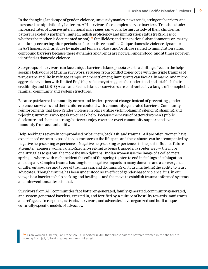In the changing landscape of gender violence, unique dynamics, new trends, stringent barriers, and increased manipulation by batterers, API survivors face complex service barriers. Trends include: increased rates of abusive international marriages; survivors losing custody of their children as batterers exploit a partner's limited English proficiency and immigration status (regardless of whether the mother is documented or not);<sup>20</sup> familicides; and transnational abandonments or 'marryand-dump' occurring after periods as short as three months. Unique domestic violence dynamics in API homes, such as abuse by male and female in-laws and/or abuse related to immigration status compound barriers because these dynamics and trends are not well-understood, and at times not even identified as domestic violence.

Sub-groups of survivors can face unique barriers: Islamophobia exerts a chilling effect on the helpseeking behaviors of Muslim survivors; refugees from conflict zones cope with the triple traumas of war, escape and life in refugee camps, and re-settlement; immigrants can face daily macro- and microaggression; victims with limited English proficiency struggle to be understood and establish their credibility; and LGBTQ Asian and Pacific Islander survivors are confronted by a tangle of homophobic familial, community and system structures.

Because patriarchal community norms and leaders prevent change instead of preventing gender violence, survivors and their children contend with community-generated barriers. Community reinforcements that keep gender violence in place utilize victim-blaming, silencing, shaming, and rejecting survivors who speak up or seek help. Because the nexus of battered women's public disclosure and shame is strong, batterers enjoy covert or overt community support and even immunity from accountability.

Help-seeking is severely compromised by barriers, backlash, and trauma. All too often, women have experienced or been exposed to violence across the lifespan, and these abuses can be accompanied by negative help-seeking experiences. Negative help-seeking experiences in the past influence future attempts. Japanese women analogize help-seeking to being trapped in a spider web — the more one struggles to get out, the more the web tightens. Indian women use the image of a coiled metal spring — where, with each incident the coils of the spring tighten to end in feelings of subjugation and despair. Complex trauma has long-term negative impacts in many domains and a convergence of different sources and types of traumas can, and do, impinge on trust, including the ability to trust advocates. Though trauma has been understood as an effect of gender-based violence, it is, in our view, also a barrier to help-seeking and healing — and the move to establish trauma-informed systems and interventions attests to that.

Survivors from API communities face batterer-generated, family-generated, community-generated, and system-generated barriers, exerted in, and fortified by, a culture of hostility towards immigrants and refugees. In response, activists, survivors, and advocates have organized and built unique culturally-specific models of advocacy.

20 Asian Women's Shelter, San Francisco CA, reported in 2011 that almost half the battered women in the shelter are coming from jail, following a dual or wrongful arrest.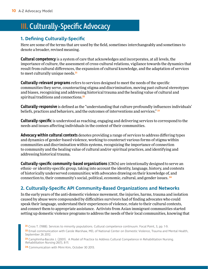# **III.** Culturally-Specific Advocacy

#### **1. Defining Culturally-Specific**

Here are some of the terms that are used by the field, sometimes interchangeably and sometimes to denote a broader, revised meaning.

**Cultural competency** is a system of care that acknowledges and incorporates, at all levels, the importance of culture, the assessment of cross-cultural relations, vigilance towards the dynamics that result from cultural differences, the expansion of cultural knowledge, and the adaptation of services to meet culturally unique needs.<sup>21</sup>

**Culturally-relevant programs** refers to services designed to meet the needs of the specific communities they serve, counteracting stigma and discrimination, moving past cultural stereotypes and biases, recognizing and addressing historical trauma and the healing value of cultural and spiritual traditions and connections.<sup>22</sup>

**Culturally-responsive** is defined as the "understanding that culture profoundly influences individuals' beliefs, practices and behaviors, and the outcomes of interventions and services."<sup>23</sup>

**Culturally-specific** is understood as reaching, engaging and delivering services to correspond to the needs and issues affecting individuals in the context of their communities.

**Advocacy within cultural contexts** denotes providing a range of services to address differing types and dynamics of gender-based violence, working to counteract various forms of stigma within communities and discrimination within systems, recognizing the importance of connection to community and the healing value of cultural and/or spiritual practices, and identifying and addressing historical trauma.

**Culturally-specific community-based organizations**(CBOs) are intentionally designed to serve an ethnic- or identity-specific group, taking into account the identity, language, history, and contexts of historically underserved communities; with advocates drawing on their knowledge of, and connection to, their community's social, political, economic, cultural, and gender issues. <sup>24</sup>

#### **2. Culturally-Specific API Community-Based Organizations and Networks**

In the early years of the anti-domestic violence movement, the injuries, harms, trauma and isolation caused by abuse were compounded by difficulties survivors had of finding advocates who could speak their language, understand their experiences of violence, relate to their cultural contexts, and connect them to appropriate assistance. Activists from Asian immigrant communities started setting up domestic violence programs to address the needs of their local communities, knowing that

22 Email communication with Carole Warshaw, MD, of National Center on Domestic Violence, Trauma and Mental Health, September 26 2012.

- 23 Camphinha-Bacote J. (2001). A Model of Practice to Address Cultural Competence in Rehabilitation Nursing. Rehabilitation Nursing 26(1), 8-11.
- 24 Communication with Mimi Kim, October 30 2013.

<sup>21</sup> Cross T. (1988). Services to minority populations. Cultural competence continuum. Focal Point, 3, pp. 1-9.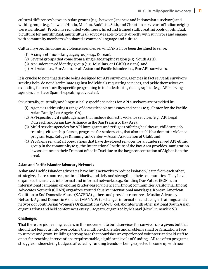cultural differences between Asian groups (e.g., between Japanese and Indonesian survivors) and within groups (e.g., between Hindu, Muslim, Buddhist, Sikh, and Christian survivors of Indian origin) were significant. Programs recruited volunteers, hired and trained staff, creating pools of bilingual, bicultural (or multilingual, multicultural) advocates able to work directly with survivors and engage with community members who shared a common language and culture.

Culturally-specific domestic violence agencies serving APIs have been designed to serve:

- (1) A single ethnic or language group (e.g., Korean),
- (2) Several groups that come from a single geographic region (e.g., South Asia),
- (3) An underserved identity-group (e.g., Muslims, or LGBTQ Asians), and
- (4) All Asian, i.e., Pan-Asian, or all Asian and Pacific Islander, i.e., Pan-API, survivors.

It is crucial to note that despite being designed for API survivors, agencies in fact serve all survivors seeking help, do not discriminate against individuals requesting services, and pride themselves on extending their culturally-specific programing to include shifting demographics (e.g., API-serving agencies also have Spanish-speaking advocates).

Structurally, culturally and linguistically specific services for API survivors are provided in:

- (1) Agencies addressing a range of domestic violence issues and needs (e.g., Center for the Pacific Asian Family, Los Angeles CA),
- (2) API-specific civil rights agencies that include domestic violence services (e.g., API Legal Outreach and Asian Law Alliance in the San Francisco Bay Area),
- (3) Multi-service agencies for API immigrants and refugees offering healthcare, childcare, job training, citizenship classes, programs for seniors, etc., that also establish a domestic violence program (e.g., Refugee & Immigrant Center — Asian Association of Utah), and
- (4) Programs serving all populations that have developed services for an underserved API ethnic group in the community (e.g., the International Institute of the Bay Area provides immigration law assistance in their Fremont office in Dari due to the large concentration of Afghanis in the area).

#### **Asian and Pacific Islander Advocacy Networks**

Asian and Pacific Islander advocates have built networks to reduce isolation, learn from each other, strategize, share resources, act in solidarity, and defy and strengthen their communities. They have organized themselves into formal and informal networks, e.g., Building Our Future (BOF) is an international campaign on ending gender-based violence in Hmong communities; California Hmong Advocates Network (CHAN) organizes around abusive international marriages; Korean American Coalition to End Domestic Abuse (KACEDA) gathers and provides resources; Muslim Advocacy Network Against Domestic Violence (MANADV) exchanges information and designs trainings; and a network of South Asian Women's Organizations (SAWO) collaborates with other national South Asian organizations and held conferences every 3-4 years, organized by Manavi (New Brunswick NJ).

#### **Challenges**

That there are pioneering leaders in this movement to build services for survivors is a given; but that should not tempt us into overlooking the multiple challenges and problems small organizations face to survive and grow. Building a strong base that nourishes an experienced volunteer and paid staff to enact far-reaching interventions requires stable, significant levels of funding. All too often programs struggle on shoe-string budgets, affected by funding trends or being expected to come up with new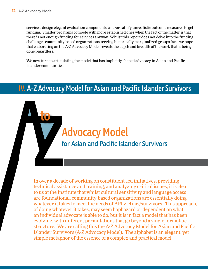to

services, design elegant evaluation components, and/or satisfy unrealistic outcome measures to get funding. Smaller programs compete with more established ones when the fact of the matter is that there is not enough funding for services anyway. Whilst this report does not delve into the funding challenges community-based organizations serving historically marginalized groups face; we hope that elaborating on the A-Z Advocacy Model reveals the depth and breadth of the work that is being done regardless.

We now turn to articulating the model that has implicitly shaped advocacy in Asian and Pacific Islander communities.

# IV. A-Z Advocacy Model for Asian and Pacific Islander Survivors

# **Advocacy Model**<br>for Asian and Pacific Islander Survivors

For Asian and Pacific Islander Survivors<br>
In over a decade of working on constituent-led initiatives, provi<br>
technical assistance and training and analyzing critical issues In over a decade of working on constituent-led initiatives, providing technical assistance and training, and analyzing critical issues, it is clear to us at the Institute that whilst cultural sensitivity and language access are foundational, community-based organizations are essentially doing whatever it takes to meet the needs of API victims/survivors. This approach, of doing whatever it takes, may seem haphazard or dependent on what an individual advocate is able to do, but it is in fact a model that has been evolving, with different permutations that go beyond a single formulaic structure. We are calling this the A-Z Advocacy Model for Asian and Pacific Islander Survivors (A-Z Advocacy Model). The alphabet is an elegant, yet simple metaphor of the essence of a complex and practical model.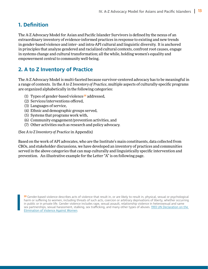#### **1. Definition**

The A-Z Advocacy Model for Asian and Pacific Islander Survivors is defined by the nexus of an extraordinary inventory of evidence-informed practices in response to existing and new trends in gender-based violence and inter- and intra-API cultural and linguistic diversity. It is anchored in principles that analyze gendered and racialized cultural contexts, confront root causes, engage in systems change and cultural transformation; all the while, holding women's equality and empowerment central to community well-being.

#### **2. A to Z Inventory of Practice**

The A-Z Advocacy Model is multi-faceted because survivor-centered advocacy has to be meaningful in a range of contexts. In the *A to Z Inventory of Practice*, multiple aspects of culturally-specific programs are organized alphabetically in the following categories:

- (1) Types of gender-based violence<sup>25</sup> addressed,
- (2) Services/interventions offered,
- (3) Languages of service,
- (4) Ethnic and demographic groups served,
- (5) Systems that programs work with,
- (6) Community engagement/prevention activities, and
- (7) Other activities such as research and policy advocacy.

(See *A to Z Inventory of Practice* in Appendix)

Based on the work of API advocates, who are the Institute's main constituents, data collected from CBOs, and stakeholder discussions, we have developed an inventory of practices and communities served in the above categories that can map culturally and linguistically specific intervention and prevention. An illustrative example for the Letter "A" is on following page.

25 Gender-based violence describes acts of violence that result in, or are likely to result in, physical, sexual or psychological harm or suffering to women, including threats of such acts, coercion or arbitrary deprivations of liberty, whether occurring in public or in private life. Gender violence includes rape, sexual assault, relationship violence in heterosexual and same sex partnerships, sexual harassment, stalking, sex trafficking, and many other types of abuses. [1993 UN Declaration on the](http://www.un.org/documents/ga/res/48/a48r104.htm)  [Elimination of Violence Against Women.](http://www.un.org/documents/ga/res/48/a48r104.htm)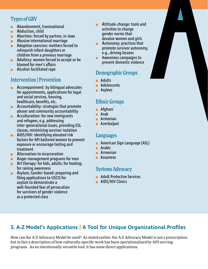#### Types of GBV

- Abandonment, transnational  $\blacksquare$
- **Abduction, child**
- **Abortion: forced by partner, in-laws**
- **Abusive international marriage**
- **Adoption coercion: mothers forced to** relinquish infant daughters or children from a previous marriage
- **Adultery: women forced to accept or be** blamed for men's affairs
- **Alcohol-facilitated rape**

#### Intervention | Prevention

- **Accompaniment: by bilingual advocates** for appointments, applications for legal and social services, housing, healthcare, benefits, etc.
- **Accountability: strategies that promote** abuser and community accountability
- **Acculturation: for new immigrants** and refugees, e.g. addressing inter-generational issues, providing ESL classes, minimizing survivor isolation
- **AIDS/HIV: identifying elevated risk** factors for API battered women to prevent exposure or encourage testing and treatment
- **Alternatives to incarceration**
- Anger management programs for men ш.
- **Art therapy: for kids, adults; for healing;** for raising awareness
- **Asylum, Gender-based: preparing and** filing applications to USCIS for asylum to demonstrate a well-founded fear of persecution for survivors of gender violence as a protected class
- Attitude-change: tools and  $\blacksquare$ activities to change gender norms that devalue women and girls
- Autonomy: practices that  $\blacksquare$ promote survivor autonomy, e.g., driving lessons
- Awareness campaigns to  $\blacksquare$ prevent domestic violence

#### Demographic Groups

- **Adults**
- **Adolescents**
- **Asylees**

#### Ethnic Groups

- **■** Afghani
- Arab
- **Ratmenian**
- **Azerbaijani**

#### Languages

- **American Sign Language (ASL)**
- **Arabic**
- **Rathmenian**
- **Assamese**

#### Systems Advocacy

- **Adult Protective Services**
- **AIDS/HIV Clinics**

## **3. A-Z Model's Applications | A Tool for Unique Organizational Profiles**

How can the A-Z Advocacy Model be used? As stated earlier, the A-Z Advocacy Model is not a prescription but in fact a description of how culturally-specific work has been operationalized by API-serving programs. As an intentionally versatile tool, it has some direct applications.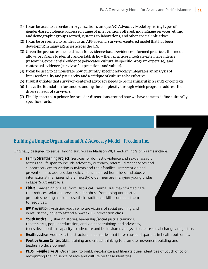- (1) It can be used to describe an organization's unique A-Z Advocacy Model by listing types of gender-based violence addressed, range of interventions offered, in-language services, ethnic and demographic groups served, systems collaborations, and other special initiatives.
- (2) It can be presented to funders as an API-specific, survivor-centered model that has been developing in many agencies across the U.S.
- (3) Given the pressures the field faces for evidence-based/evidence-informed practices, this model allows programs to identify and establish how their practices integrate external evidence (research), experiential evidence (advocates' culturally-specific program expertise), and contextual evidence (survivors' expectations and values).
- (4) It can be used to demonstrate how culturally-specific advocacy integrates an analysis of intersectionality and patriarchy and a critique of culture to be effective.
- (5) It substantiates that survivor-centered advocacy needs to be meaningful in a range of contexts.
- (6) It lays the foundation for understanding the complexity through which programs address the diverse needs of survivors.
- (7) Finally, it acts as a primer for broader discussions around how we have come to define culturallyspecific efforts.

Originally designed to serve Hmong survivors in Madison WI, Freedom Inc.'s programs include:

- **Building a Unique Organizational A-Z Advocacy Model | Freedom Inc.**<br> **Dorginally designed to serve Himong survivors in Modison WI, Freedom Inc.'s programs include:**<br> **Examily Strenthening Project:** Services for domestic v **Family Strenthening Project:** Services for domestic violence and sexual assault across the life span to include advocacy, outreach, referral, direct services and support services to victims/survivors and their families. Intervention and prevention also address domestic violence related homicides and abusive international marriages where (mostly) older men are marrying young brides in Laos/Southeast Asia.
	- **Elders**: Gardening to Heal from Historical Trauma: Trauma-informed care that reduces isolation, prevents elder abuse from going unreported, promotes healing as elders use their traditional skills, connects them to resources.
	- **IPV Prevention:** Assisting youth who are victims of racial profiling and in return they have to attend a 6-week IPV prevention class.
	- **Youth Justice**: By sharing stories, leadership/social justice trainings, theater, arts, popular education, anti-violence trainings and advocacy, teens develop their capacity to advocate and build shared analysis to create social change and justice.
	- **Health Justice:** Addresses the structural inequalities that have caused disparities in health outcomes.
	- **Positive Action Center:** Skills training and critical thinking to promote movement building and leadership development.
	- **PLUS | People Like Us:** Organizing to build, decolonize and liberate queer identities of youth of color, recognizing the influence of race and culture on these identities.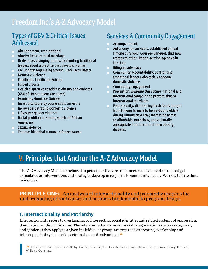# Freedom Inc.'s A-Z Advocacy Model

## Types of GBV & Critical Issues Addressed

- Abandonment, transnational  $\mathbf{m}$  .
- **Abusive international marriage**
- Bride price: changing norms/confronting traditional leaders about a practice that devalues women
- **Civil rights: organizing around Black Lives Matter**
- **Domestic violence**
- Familicide, Familicide-Suicide
- Forced divorce
- **Health disparities to address obesity and diabetes** (65% of Hmong teens are obese)
- **Homicide, Homicide-Suicide**
- Incest disclosure by young adult survivors
- **In-laws perpetrating domestic violence**
- **Lifecourse gender violence**
- **Racial profiling of Hmong youth, of African Americans**
- **Sexual violence**
- Trauma: historical trauma, refugee trauma

# Services & Community Engagement

- Accompaniment
- Autonomy for survivors: established annual Hmong Survivors' Courage Banquet, that now rotates to other Hmong-serving agencies in the state
- m. Bilingual advocacy
- Community accountability: confronting traditional leaders who tacitly condone domestic violence
- Community engagement
- $\mathbf{H}^{\text{max}}$ Prevention: Building Our Future, national and international campaign to prevent abusive international marriages
- Food security: distributing fresh foods bought from Hmong farmers to home-bound elders during Hmong New Year; increasing access to affordable, nutritious, and culturally appropriate food to combat teen obesity, diabetes

# V. Principles that Anchor the A-Z Advocacy Model

The A-Z Advocacy Model is anchored in principles that are sometimes stated at the start or, that get articulated as interventions and strategies develop in response to community needs. We now turn to these principles.

#### **PRINCIPLE ONE:** An analysis of intersectionality and patriarchy deepens the understanding of root causes and becomes fundamental to program design.

#### **1. Intersectionality and Patriarchy**

Intersectionality refers to overlapping or intersecting social identities and related systems of oppression, domination, or discrimination. The interconnected nature of social categorizations such as race, class, and gender as they apply to a given individual or group, are regarded as creating overlapping and interdependent systems of discrimination or disadvantage. <sup>26</sup>

26 The term was first coined in 1989 by American civil rights advocate and leading scholar of critical race theory, Kimberlé Williams Crenshaw.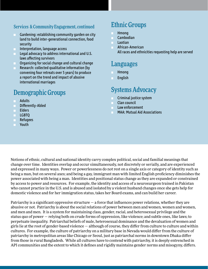#### Services & Community Engagement, continued

- Gardening: establishing community garden on city  $\blacksquare$ land to build inter-generational connection, food security
- Interpretation, language access
- **Legal advocacy to address international and U.S.** laws affecting survivors
- Organizing for social change and cultural change
- Research: collected qualitative information (by convening four retreats over 5 years) to produce a report on the trend and impact of abusive international marriages

# Demographic Groups

- Adults
- Differently-Abled m.
- **Elders**
- **LGBTQ**
- **Refugees**
- Youth

## Ethnic Groups

- Hmong
- **Cambodian**
- Laotian
- **African-American** All races and ethnicities requesting help are served

## Languages

- Hmong
- English

## Systems Advocacy

- Criminal justice system
- **Clan council**
- Law enforcement
- MAA: Mutual Aid Associations

Notions of ethnic, cultural and national identity carry complex political, social and familial meanings that change over time. Identities overlap and occur simultaneously, not discretely or serially, and are experienced and expressed in many ways. Power or powerlessness do not rest on a single axis or category of identity such as being a man, but on several axes; and being a gay, immigrant man with limited English proficiency diminishes the power associated with being a man. Identities and positional status change as they are expanded or constrained by access to power and resources. For example, the identity and access of a neurosurgeon trained in Pakistan who cannot practice in the U.S. and is abused and isolated by a violent husband changes once she gets help for domestic violence and for her immigration status, takes her Board exams, and can build her career.

Patriarchy is a significant oppressive structure — a force that influences power relations, whether they are abusive or not. Patriarchy is about the social relations of power between men and women, women and women, and men and men. It is a system for maintaining class, gender, racial, and heterosexual privilege and the status quo of power — relying both on crude forms of oppression, like violence; and subtle ones, like laws; to perpetuate inequality. Patriarchal beliefs of male, heterosexual dominance and the devaluation of women and girls lie at the root of gender-based violence — although of course, they differ from culture to culture and within cultures. For example, the culture of patriarchy on a military base in Nevada would differ from the culture of patriarchy in metropolitan areas like Chicago or Seoul, just as patriarchal norms in downtown Dhaka differ from those in rural Bangladesh. While all cultures have to contend with patriarchy, it is deeply entrenched in API communities and the extent to which it defines and rigidly maintains gender norms and misogyny, differs.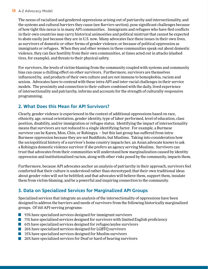#### **18** A-Z Advocacy Model

The nexus of racialized and gendered oppressions arising out of patriarchy and intersectionality, and the systems and cultural barriers they cause (see *Barriers* section), pose significant challenges because of how tight this nexus is in many API communities. Immigrants and refugees who have fled conflicts in their own countries may carry historical animosities and political mistrust that cannot be expected to abate easily just because they are in U.S. now. Many advocates face these issues in their own lives, as survivors of domestic or other forms of gender violence; or because of political oppression as immigrants or refugees. When they and other women in these communities speak out about domestic violence, they can face hostility from their own communities, at times acted out in attacks (slashed tires, for example), and threats to their physical safety.

For survivors, the levels of victim-blaming from the community coupled with systems and community bias can cause a chilling effect on other survivors. Furthermore, survivors are themselves influenced by, and products of their own culture and are not immune to homophobia, racism and sexism. Advocates have to contend with these intra-API and inter-racial challenges in their service models. The proximity and connection to their culture combined with the daily, lived experience of intersectionality and patriarchy, informs and accounts for the strength of culturally-responsive programming.

#### **2. What Does this Mean for API Survivors?**

Clearly, gender violence is experienced in the context of additional oppressions based on race, ethnicity, age, sexual orientation, gender identity, type of labor performed, level of education, class position, disability, and/or immigration or refugee status. Identifying the impact of intersectionality means that survivors are not reduced to a single identifying factor. For example, a Burmese survivor can be Karen, Mon, Chin, or Rohingya — but this last group has suffered from intra-Burmese oppression because they are not Buddhists, but Muslims. Taking into consideration how the sociopolitical history of a survivor's home country impacts her, an Asian advocate knows to ask a Rohingya domestic violence survivor if she prefers an agency serving Muslims. Survivors can trust that advocates from their communities will understand how marginalization caused by identity oppression and institutionalized racism, along with other risks posed by the community, impacts them.

Furthermore, because API advocates anchor an analysis of patriarchy in their approach, survivors feel comforted that their culture is understood rather than stereotyped; that their own traditional ideas about gender roles will not be belittled; and that advocates will believe them, support them, insulate them from victim-blaming, and be a powerful and inspiring connection to the community.

#### **3. Data on Specialized Services for Marginalized API Groups**

Specialized services that integrate an analysis of the intersectionality of oppressions have been designed to address the barriers and needs of survivors from the following historically marginalized groups. Of 160 API-serving programs:

- 93% have specialized services designed for immigrant survivors
- **1** 71% have specialized services designed for survivors with limited English proficiency
- $\blacksquare$  61% have specialized services designed for refugee/asylee survivors
- 26% have specialized services designed for LGBTQ survivors
- **1** 35% have specialized services designed for Muslim survivors
- 26% have specialized services for Deaf or hard of hearing survivors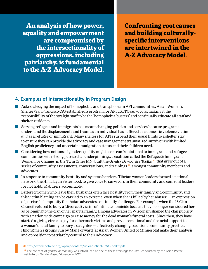An analysis of how power, equality and empowerment are compromised by the intersectionality of oppressions, including patriarchy, is fundamental to the A-Z Advocacy Model.

Confronting root causes and building culturallyspecific interventions are intertwined in the A-Z Advocacy Model.

#### **4. Examples of Intersectionality in Program Design**

- **Acknowledging the impact of homophobia and transphobia in API communities, Asian Women's** Shelter (San Francisco CA) established a program for API LGBTQ survivors; making it the responsibility of the straight staff to be the 'homophobia-busters' and continually educate all staff and shelter residents.
- Serving refugees and immigrants has meant changing policies and services because programs  $\mathcal{L}(\mathcal{A})$ understand the displacements and traumas an individual has suffered as a domestic violence victim *and* as a refugee or immigrant. Many shelters for APIs suspend their usual limits to a shelter stay to ensure they can provide the advocacy and case management traumatized survivors with limited English proficiency and uncertain immigration status and their children need.
- Considering how notions of gender equality might seem confrontational to immigrant and refugee communities with strong patriarchal underpinnings, a coalition called the Refugee & Immigrant Women for Change (in the Twin Cities MN) built the *Gender Democracy Toolkit<sup>27</sup>* that grew out of a series of community assessments, conversations, and trainings <sup>28</sup> amongst community members and advocates.
- In response to community hostility and systems barriers, Tibetan women leaders formed a national network, the Himalayan Sisterhood, to give voice to survivors in their community and confront leaders for not holding abusers accountable.
- Battered women who leave their husbands often face hostility from their family and community; and  $\mathcal{L}(\mathcal{A})$ this victim-blaming can be carried to an extreme, even when she is killed by her abuser — an expression of patriarchal impunity that Asian advocates continually challenge. For example, when the 18 Clan Council refused to bury a (divorced) victim of intimate homicide because they no longer considered her as belonging to the clan of her marital family, Hmong advocates in Wisconsin shamed the clan publicly with a nation-wide campaign to raise money for the dead woman's funeral costs. Since then, they have started a giving circle to pay for other such victims and provide emotional and financial support to a woman's natal family to bury a daughter — effectively changing traditional community practice. Hmong men's groups run by Man Forward (at Asian Women United of Minnesota) make their analysis and opposition to patriarchy central to their advocacy.

<sup>27</sup> <http://womenofwise.org/wp/wp-content/uploads/final-RIWC-Toolkit.pdf>

28 The concept of gender democracy was introduced at one of these trainings for RIWC conducted by the Asian Pacific Institute on Gender-Based Violence in 2012.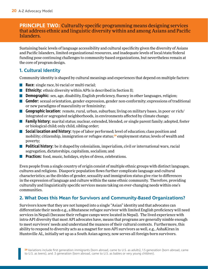#### **PRINCIPLE TW0:** Culturally-specific programming means designing services that address ethnic and linguistic diversity within and among Asians and Pacific Islanders.

Sustaining basic levels of language accessibility and cultural specificity given the diversity of Asians and Pacific Islanders, limited organizational resources, and inadequate levels of local/state/federal funding pose continuing challenges to community-based organizations, but nevertheless remain at the core of program design.

#### **1. Cultural Identity**

Community identity is shaped by cultural meanings and experiences that depend on multiple factors:

- **Race:** single race, bi-racial or multi-racial;
- **Ethnicity:** ethnic diversity within APIs is described in Section II;
- **Demographic:** sex, age, disability, English proficiency, fluency in other languages, religion;
- **Gender:** sexual orientation, gender expression, gender non-conformity; expressions of traditional or new paradigms of masculinity or femininity;
- Geographic location: remote, rural, urban, suburban; living on military bases, in poor or rich/ integrated or segregated neighborhoods, in environments affected by climate change;
- **Family history:** marital status; nuclear, extended, blended, or single parent family; adopted, foster or biological child; only child, sibling order;
- **Social location and history:** type of labor performed; level of education; class position and mobility; citizenship, immigration or refugee status;<sup>29</sup> employment status; levels of wealth and poverty;
- **Political history:** be it shaped by colonialism, imperialism, civil or international wars, racial segregation, dictatorships, capitalism, socialism; and
- **Practices:** food, music, holidays, styles of dress, celebrations.

Even people from a single country of origin consist of multiple ethnic groups with distinct languages, cultures and religions. Diasporic population flows further complicate language and cultural characteristics; as the divides of gender, sexuality and immigration status give rise to differences in the expression of language and culture within the same ethnic community. Therefore, providing culturally and linguistically specific services means taking on ever-changing needs within one's communities.

#### **2. What Does this Mean for Survivors and Community-Based Organizations?**

Survivors know that they are not lumped into a single "Asian" identity and that advocates can differentiate their needs e.g., a Bhutanese refugee survivor with limited English proficiency will need services in Nepali (because their refugee camps were located in Nepal). The lived experience with intra-API diversity that most API advocates have, means that programs are generally nimble enough to meet survivors' needs and understand the nuances of their cultural contexts. Furthermore, this ability to respond to diversity acts as a magnet for non-API survivors as well, e.g., AshaKiran in Huntsville AL, initially set up as a South Asian agency, now serves all foreign-born survivors.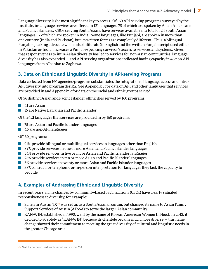Language diversity is *the* most significant key to access. Of 160 API-serving programs surveyed by the Institute, in-language services are offered in 121 languages, 75 of which are spoken by Asian Americans and Pacific Islanders. CBOs serving South Asians have services available in a total of 24 South Asian languages; 17 of which are spoken in India. Some languages, like Punjabi, are spoken in more than one country (India and Pakistan), but its written forms are completely different. Thus, a bilingual Punjabi-speaking advocate who is also biliterate (in English and the written Punjabi script used either in Pakistan or India) increases a Punjabi-speaking survivor's access to services and systems. Given that responsiveness to intra-Asian diversity has led to services for non-Asian communities, language diversity has also expanded — and API-serving organizations indicated having capacity in 46 non-API languages from Albanian to Zaghawa.

#### **3. Data on Ethnic and Linguistic Diversity in API-serving Programs**

Data collected from 160 agencies/programs substantiates the integration of language access and intra-API diversity into program design. See Appendix 3 for data on API and other languages that services are provided in and Appendix 2 for data on the racial and ethnic groups served.

Of 56 distinct Asian and Pacific Islander ethnicities served by 160 programs:

- 41 are Asian
- **15 are Native Hawaiian and Pacific Islander**

Of the 121 languages that services are provided in by 160 programs:

- 75 are Asian and Pacific Islander languages
- 46 are non-API languages

#### Of 160 programs:

- **91%** provide bilingual or multilingual services in languages other than English
- 89% provide services in one or more Asian and Pacific Islander languages
- 54% provide services in five or more Asian and Pacific Islander languages
- **26% provide services in ten or more Asian and Pacific Islander languages**
- 5% provide services in twenty or more Asian and Pacific Islander languages
- **38%** contract for telephonic or in-person interpretation for languages they lack the capacity to provide

#### **4. Examples of Addressing Ethnic and Linguistic Diversity**

In recent years, name changes by community-based organizations (CBOs) have clearly signaled responsiveness to diversity, for example:

- Saheli in Austin TX<sup>30</sup> was set up as a South Asian program, but changed its name to Asian Family Support Services of Austin (AFSSA) to serve the larger Asian community.
- KAN-WIN, established in 1990, went by the name of Korean American Women In Need. In 2013, it decided to go solely as "KAN-WIN" because its clientele became much more diverse — this name change showed their commitment to meeting the great diversity of cultural and linguistic needs in the greater Chicago area.

**<sup>30</sup>** Not to be confused with Saheli in Boston MA.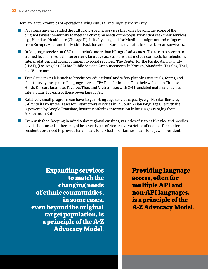Here are a few examples of operationalizing cultural and linguistic diversity:

- **Programs have expanded the culturally-specific services they offer beyond the scope of the** original target community to meet the changing needs of the populations that seek their services; e.g., Hamdard Healthcare (Chicago IL), initially designed for Muslim immigrants and refugees from Europe, Asia, and the Middle East, has added Korean advocates to serve Korean survivors.
- In-language services at CBOs can include more than bilingual advocates. There can be access to trained legal or medical interpreters; language access plans that include contracts for telephonic interpretation; and accompaniment to social services. The Center for the Pacific Asian Family (CPAF), (Los Angeles CA) has Public Service Announcements in Korean, Mandarin, Tagalog, Thai, and Vietnamese.
- **The Translated materials such as brochures, educational and safety planning materials, forms, and** client surveys are part of language access. CPAF has "mini-sites" on their website in Chinese, Hindi, Korean, Japanese, Tagalog, Thai, and Vietnamese; with 3-4 translated materials such as safety plans, for each of these seven languages.
- Relatively small programs can have large in-language service capacity; e.g., Narika (Berkeley CA) with its volunteers and four staff offers services in 14 South Asian languages. Its website is powered by Google Translate, instantly offering information in languages ranging from Afrikaans to Zulu.
- **E** Even with food, keeping in mind Asian regional cuisines, varieties of staples like rice and noodles have to be stocked — there might be seven types of rice or five varieties of noodles for shelter residents; or a need to provide halal meals for a Muslim or kosher meals for a Jewish resident.

Expanding services to match the changing needs of ethnic communities, in some cases, even beyond the original target population, is a principle of the A-Z Advocacy Model.

Providing language access, often for multiple API and non-API languages, is a principle of the A-Z Advocacy Model.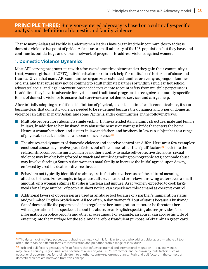#### **PRINCIPLE THREE:** Survivor-centered advocacy is based on a culturally-specific analysis and definition of domestic and family violence.

That so many Asian and Pacific Islander women leaders have organized their communities to address domestic violence is a point of pride. Asians are a small minority of the U.S. population, but they have, and continue to, build a huge and vibrant network of programs to address violence against women.

#### **1. Domestic Violence Dynamics**

Most API-serving programs start with a focus on domestic violence and as they gain their community's trust, women, girls, and LGBTQ individuals also start to seek help for undisclosed histories of abuse and trauma. Given that many API communities organize as extended families or even groupings of families or clans, and that abuse may not be confined to adult intimate partners or within a nuclear household, advocates' social and legal interventions needed to take into account safety from multiple perpetrators. In addition, they have to advocate for systems and traditional programs to recognize community-specific forms of domestic violence to ensure that survivors are not denied services and can get help.

After initially adopting a traditional definition of physical, sexual, emotional and economic abuse, it soon became clear that domestic violence needed to be re-defined because the dynamics and types of domestic violence can differ in many Asian, and some Pacific Islander communities, in the following ways:

- $\blacksquare$  Multiple perpetrators abusing a single victim: In the extended Asian family structure, male and female in-laws, in addition to her husband, may abuse the newest or youngest bride that enters the home. Hence, a woman's mother- and sisters-in-law and father- and brothers-in-law can subject her to a range of physical, sexual, emotional, and economic violence.<sup>31</sup>
- **The abuses and dynamics of domestic violence and coercive control can differ. Here are a few examples:** emotional abuse may involve 'push' factors out of the home rather than 'pull' factors<sup>32</sup> back into the relationship, compromising a woman or mother's ability to make self-protective decisions; sexual violence may involve being forced to watch and mimic degrading pornographic acts; economic abuse may involve forcing a South Asian woman's natal family to increase the initial agreed-upon dowry, enforced by credible death or divorce threats.
- $\blacksquare$  Behaviors not typically identified as abuse, are in fact abusive because of the cultural meanings attached to them. For example, in Japanese culture, a husband or in-laws throwing water (even a small amount) on a woman signifies that she is unclean and impure; Arab women, expected to cook large meals for a large number of people at short notice, can experience this demand as coercive control.
- **Additional layers of oppression are used as an abuse tool because of a partner's immigration status** and/or limited English proficiency. All too often, Asian women fall out of status because a husband/ fiancé does not file the papers needed to regularize her immigration status, or he threatens her with deportation if she speaks out about the abuse, or an English-speaking abuser provides false information on police reports and other proceedings. For example, an abuser can accuse his wife of entering into the marriage for the sole, and therefore fraudulent purpose, of obtaining a green card.

<sup>31</sup> The dynamic of multiple perpetrators abusing a single victim is familiar to those who address elder abuse — where all too often, there can be different forms of victimization and predation from a range of individuals.

 $32$  Push and pull factors generally refer to factors that influence internal and international migration  $-$  e.g., individuals may leave a country, region, rural area because of a lack of jobs, i.e., 'push' factors, and be drawn by 'pull' factors such as educational opportunities for their children, to another country/region/metro area. Push and pull factors in the context of domestic violence are borrowed from this concept.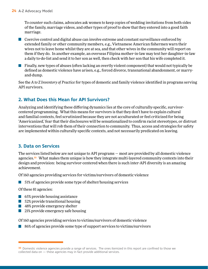To counter such claims, advocates ask women to keep copies of wedding invitations from both sides of the family, marriage videos, and other types of proof to show that they entered into a good faith marriage.

**Coercive control and digital abuse can involve extreme and constant surveillance enforced by** extended family or other community members, e.g., Vietnamese American fishermen warn their wives not to leave home whilst they are at sea, and that other wives in the community will report on them if they do. In another example, an overseas Filipina mother-in-law may text her daughter-in-law a daily to-do-list and send it to her son as well, then check with her son that his wife completed it.

**Finally, new types of abuses (often lacking an overtly violent component) that would not typically be** defined as domestic violence have arisen, e.g., forced divorce, transnational abandonment, or marryand-dump.

See the *A to Z Inventory of Practice* for types of domestic and family violence identified in programs serving API survivors.

#### **2. What Does this Mean for API Survivors?**

Analyzing and identifying these differing dynamics lies at the core of culturally-specific, survivorcentered programming. What this means for survivors is that they don't have to explain cultural and familial contexts, feel scrutinized because they are not acculturated or feel criticized for being 'Americanized,' fear that their disclosures will be sensationalized to confirm racist stereotypes, or distrust interventions that will rob them of their connection to community. Thus, access and strategies for safety are implemented within culturally-specific contexts, and not necessarily predicated on leaving.

#### **3. Data on Services**

The services listed below are not unique to API programs — most are provided by all domestic violence agencies.<sup>33</sup> What makes them unique is how they integrate multi-layered community contexts into their design and provision: being survivor-centered when there is such inter-API diversity is an amazing achievement.

Of 160 agencies providing services for victims/survivors of domestic violence

51% of agencies provide some type of shelter/housing services  $\mathcal{L}^{\text{max}}$ 

#### Of these 81 agencies:

- 65% provide housing assistance
- **52% provide transitional housing**
- **48% provide emergency shelter**
- 21% provide emergency safe housing

Of 160 agencies providing services to victims/survivors of domestic violence

86% of agencies provide some type of support services to victims/survivors

<sup>33</sup> Domestic violence agencies provide a range of services. The ones itemized in this report are confined to those we collected data on — these agencies may in fact provide additional services.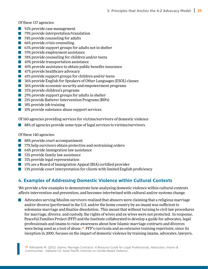Of these 137 agencies:

- **92% provide case management**
- **79%** provide interpretation/translation
- 74% provide counseling for adults
- 66% provide crisis counseling
- 63% provide support groups for adults not in shelter
- **59% provide employment assistance**
- 58% provide counseling for children and/or teens
- 49% provide transportation assistance
- 49% provide assistance to obtain public benefits insurance
- **47% provide healthcare advocacy**
- **41% provide support groups for children and/or teens**
- **1** 36% provide English for Speakers of Other Languages (ESOL) classes
- **80%** provide economic security and empowerment programs
- **35% provide children's programs**
- 29% provide support groups for adults in shelter
- **21% provide Batterer Intervention Programs (BIPs)**
- **18% provide job training**
- 10% provide substance abuse support services

Of 160 agencies providing services for victims/survivors of domestic violence

88% of agencies provide some type of legal services to victims/survivors

Of these 140 agencies:

- 88% provide court accompaniment
- **1** 77% help survivors obtain protective and restraining orders
- 64% provide immigration law assistance
- **51% provide family law assistance**
- **31% provide legal representation**
- **15% are a Board of Immigration Appeal (BIA) certified provider**
- $\blacksquare$  13% provide court interpretation for clients with limited English proficiency

#### **4. Examples of Addressing Domestic Violence within Cultural Contexts**

We provide a few examples to demonstrate how analyzing domestic violence within cultural contexts affects intervention and prevention, and becomes intertwined with cultural and/or systems change.

Advocates serving Muslim survivors realized that abusers were claiming that a religious marriage and/or divorce (performed in the U.S. and/or the home country by an imam) was sufficient to solemnize marriage and finalize dissolution. This meant that without turning to civil law procedures for marriage, divorce, and custody, the rights of wives and ex-wives were not protected. In response, Peaceful Families Project (PFP) and the Institute collaborated to develop a guide for advocates, legal professionals and imams to raise awareness about how Islamic marriage contracts and divorces were being used as a tool of abuse.<sup>34</sup> PFP's curricula and an extensive training repertoire, since its inception in 2000, focuses on the impact of domestic violence by training imams, advocates, lawyers,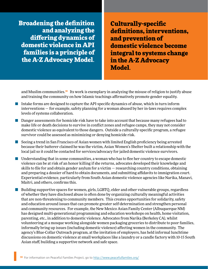Broadening the definition and analyzing the differing dynamics of domestic violence in API families is a principle of the A-Z Advocacy Model.

**26** A-Z Advocacy Model

Culturally-specific definitions, interventions, and prevention of domestic violence become integral to systems change in the A-Z Advocacy Model.

and Muslim communities.<sup>35</sup> Its work is exemplary in analyzing the misuse of religion to justify abuse and training the community on how Islamic teachings affirmatively promote gender equality.

- Intake forms are designed to capture the API-specific dynamics of abuse, which in turn inform interventions — for example, safety planning for a woman abused by her in-laws requires complex levels of systems collaboration.
- **Danger assessments for homicide risk have to take into account that because many refugees had to** make life or death decisions to survive in conflict zones and refugee camps, they may not consider domestic violence as equivalent to those dangers. Outside a culturally-specific program, a refugee survivor could be assessed as minimizing or denying homicide risk.
- Seeing a trend in San Francisco of Asian women with limited English proficiency being arrested  $\mathcal{L}^{\text{max}}_{\text{max}}$ because their batterer claimed he was the victim, Asian Women's Shelter built a relationship with the local jail so it could be contacted for services/advocacy for jailed domestic violence survivors.
- **Understanding that in some communities, a woman who has to flee her country to escape domestic** violence can be at risk of an honor killing if she returns, advocates developed their knowledge and skills to file for and obtain gender asylum for a victim  $-$  researching country conditions, obtaining and preparing a dossier of hard to obtain documents, and submitting affidavits to immigration court. Experiential evidence, particularly from South Asian domestic violence agencies like Narika, Manavi, Maitri, and others, confirms this.
- Building supportive spaces for women, girls, LGBTQ, elder and other vulnerable groups, regardless of whether they have disclosed abuse is often done by organizing culturally meaningful activities that are non-threatening to community members. This creates opportunities for solidarity, safety and education around issues that can promote greater self-determination and strengthen personal and community resources. For example, the New Mexico Asian Family Center (Albuquerque NM) has designed multi-generational programming and education workshops on health, home visitation, parenting, etc., in addition to domestic violence. Advocates from Narika (Berkeley CA), whilst volunteering at a mosque working alongside women packaging groceries to distribute to poor families, informally bring up issues (including domestic violence) affecting women in the community. The agency's Blue-Collar Outreach program, at the invitation of employers, has held informal lunchtime discussions on domestic violence at small workplaces like a laundry or a candle factory with 10-15 South Asian staff, building a supportive network and safe space.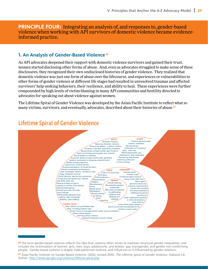**PRINCIPLE FOUR:** Integrating an analysis of, and responses to, gender-based violence when working with API survivors of domestic violence became evidenceinformed practice.

#### **1. An Analysis of Gender-Based Violence** <sup>36</sup>

As API advocates deepened their rapport with domestic violence survivors and gained their trust, women started disclosing other forms of abuse. And, even as advocates struggled to make sense of these disclosures, they recognized their own undisclosed histories of gender violence. They realized that domestic violence was just one form of abuse over the lifecourse, and experiences or vulnerabilities to other forms of gender violence at different life stages had resulted in unresolved traumas and affected survivors' help-seeking behaviors, their resilience, and ability to heal. These experiences were further compounded by high levels of victim-blaming in many API communities and hostility directed to advocates for speaking out about violence against women.

The Lifetime Spiral of Gender Violence was developed by the Asian Pacific Institute to reflect what so Lifetime Spiral of Gender Violencemany victims, survivors, and eventually, advocates, described about their histories of abuse.<sup>37</sup>



## Lifetime Spiral of Gender Violence

**<sup>36</sup>** The term gender-based violence reflects the idea that violence often serves to maintain structural gender inequalities, and includes the victimization of women, girls, men, boys, adolescents, and lesbian, gay, transgender, and gender non-conforming people. Gender-based violence is largely male-patterned violence, and influences or is influenced by gender relations.

<sup>37</sup> Asian Pacific Institute on Gender-Based Violence. (2002, revised 2010). The Lifetime Spiral of Gender Violence. Oakland CA: Author. <http://www.api-gbv.org/violence/lifetime-spiral.php>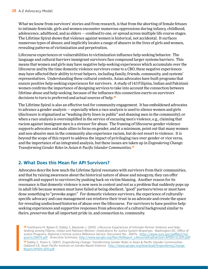What we know from survivors' stories and from research, is that from the aborting of female fetuses to intimate femicide, girls and women encounter numerous oppressions during infancy, childhood, adolescence, adulthood, and as elders — confined to one, or spread across multiple life course stages. The Lifetime Spiral shows that violence against women is historical, not accidental. It surfaces numerous types of abuses; and implicitly locates a range of abusers in the lives of girls and women, revealing patterns of victimization and perpetration.

Lifecourse experiences or vulnerabilities to victimization influence help-seeking behavior. The language and cultural barriers immigrant survivors face compound larger systems barriers. This means that women and girls may have negative help-seeking experiences which accumulate over the lifecourse and by the time domestic violence survivors come to a CBO, these negative experiences may have affected their ability to trust helpers, including family, friends, community, and systems' representatives. Understanding these cultural contexts, Asian advocates have built programs that ensure positive help-seeking experiences for survivors. A study of 143 Filipina, Indian and Pakistani women confirms the importance of designing services to take into account the connection between lifetime abuse and help-seeking, because of the influence this connection exerts on survivors' decisions to turn to preferred and actual sources of help.<sup>38</sup>

The Lifetime Spiral is also an effective tool for community engagement. It has emboldened advocates to advance a gender analysis — especially when a race analysis is used to silence women and girls (disclosure is stigmatized as "washing dirty linen in public" and shaming men in the community); or when a race analysis is oversimplified in the service of excusing men's violence, e.g., claiming that racism against immigrant men is a stressor for abuse. The framing of lifecourse gender violence supports advocates and male allies to focus on gender, and at a minimum, point out that many women and non-abusive men in the community also experience racism, but do not resort to violence. It is beyond the scope of this report to address the impact of privileging race over gender or vice versa, and the importance of an integrated analysis, but these issues are taken up in *Engendering Change: Transforming Gender Roles in Asian & Pacific Islander Communities*. 39

#### **2. What Does this Mean for API Survivors?**

Advocates describe how much the Lifetime Spiral resonates with survivors from their communities, and that by raising awareness about the historical nature of abuse and misogyny, they can offer strength and support to survivors by pushing back on victim-blaming. Another reason for its resonance is that domestic violence is now seen in context and not as a problem that suddenly pops up in adult life because women must have failed at being obedient, "good" partners/wives or must have done something to "provoke anger." For domestic violence survivors, the experience of culturallyspecific advocacy and case management can reinforce their trust in an advocate and create the space for revealing undisclosed histories of abuse over the lifecourse. For survivors to have positive helpseeking experiences and supportive responses from advocates of a cultural background similar to theirs, preserves that all important pride in, and connection to, community.

38 Yoshihama M, Bybee D, Dabby C, Blazevski J. (2010). Lifecourse Experiences of Intimate Partner Violence and Help-Seeking among Filipino, Indian and Pakistani Women: Implications for Justice System Responses. Washington DC: Office of Justice Programs, National Criminal Justice Reference Service. Document No.: 236174. [https://www.ncjrs.gov/pdffiles1/nij/](https://www.ncjrs.gov/pdffiles1/nij/grants/236174.pdf) [grants/236174.pdf.](https://www.ncjrs.gov/pdffiles1/nij/grants/236174.pdf) (Executive Summary: [http://www.api-gbv.org/files/NIJReport\\_LifecourseExpExecSum-APIIDV-12.2011.pdf\)](http://www.api-gbv.org/files/NIJReport_LifecourseExpExecSum-APIIDV-12.2011.pdf)

39 Dabby C, Poore G. (2007). Engendering Change: Transforming Gender Roles in Asian & Pacific Islander Communities. Oakland CA: Asian Pacific Institute on Gender-Based Violence. [http://www.api-gbv.org/download/Engendering.Change-](http://www.api-gbv.org/download/Engendering.Change-Report-APIIDV-2013.pdf )[Report-APIIDV-2013.pdf](http://www.api-gbv.org/download/Engendering.Change-Report-APIIDV-2013.pdf )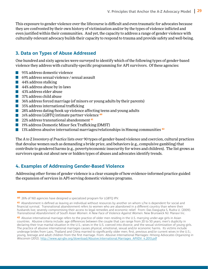This exposure to gender violence over the lifecourse is difficult and even traumatic for advocates because they are confronted by their own history of victimization and/or by the types of violence inflicted and even justified within their communities. And yet, the capacity to address a range of gender violence with culturally-relevant advocacy builds their capacity to respond to trauma and provide safety and well-being.

#### **3. Data on Types of Abuse Addressed**

One hundred and sixty agencies were surveyed to identify which of the following types of gender-based violence they address with culturally-specific programming for API survivors. Of these agencies:

- 95% address domestic violence
- $\mathcal{L}^{\text{max}}$ 69% address sexual violence / sexual assault
- **44% address stalking**
- **44% address abuse by in-laws**
- **43% address elder abuse**
- **1** 37% address child abuse
- $\Box$  36% address forced marriage (of minors or young adults by their parents)
- $\mathcal{L}^{\text{max}}_{\text{max}}$ 35% address international trafficking
- 28% address dating/hook up violence affecting teens and young adults
- 26% address LGBTQ intimate partner violence <sup>40</sup>
- 22% address transnational abandonment<sup>41</sup> L
- **19% address Domestic Minor Sex Trafficking (DMST)**
- 13% address abusive international marriages/relationships in Hmong communities  $42$

The *A to Z Inventory of Practice* lists over 90 types of gender-based violence and coercion, cultural practices that devalue women such as demanding a bride price, and behaviors (e.g., compulsive gambling) that contribute to gendered harms (e.g., poverty/economic insecurity for wives and children). The list grows as survivors speak out about new or hidden types of abuses and advocates identify trends.

#### **4. Examples of Addressing Gender-Based Violence**

Addressing other forms of gender violence is a clear example of how evidence-informed practice guided the expansion of services in API-serving domestic violence programs.

<sup>40</sup> 26% of 160 agencies have designed a specialized program for LGBTQ IPV.

<sup>41</sup> Abandonment is defined as leaving an individual without resources by another on whom s/he is dependent for social and financial survival. Transnational abandonment refers to women who are abandoned in a different country than where their husbands live; severely compromising their access to legal remedies and economic relief. From: Das Dasgupta S, Rudra U. (2009). Transnational Abandonment of South Asian Women: A New Face of Violence Against Women. New Brunswick NJ: Manavi Inc.

<sup>42</sup> Abusive international marriage refers to the practice of older men residing in the U.S. marrying under-age girls in Asian countries. Abusive criteria include: age differences between the couple that can range from 20 to 50 years; men's duplicity in declaring their true marital situation in the U.S.; wives in the U.S. coerced into divorce; and the sexual victimization of young girls. The practice of abusive international marriages causes physical, emotional, sexual and/or economic harms. Its victims include underage brides from Laos, Thailand and China married to significantly older men; first, previous and/or current wives in the U.S.; young, teenage and adult children from the first marriage. From: Abusive International Marriages: Hmong Advocates Organizing in Wisconsin (2012). [http://www.api-gbv.org/download/Abusive.International.Marriages\\_APIIDV\\_4.2013.pdf](http://www.api-gbv.org/download/Abusive.International.Marriages_APIIDV_4.2013.pdf )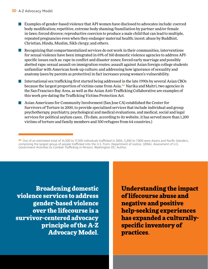- **EXamples of gender-based violence that API women have disclosed to advocates include: coerced** body modification; repetitive, extreme body shaming/humiliation by partner and/or female in-laws; forced divorce; reproductive coercion to produce a male child that can lead to multiple, repeated pregnancies even when they endanger maternal health; incest; abuse by Buddhist, Christian, Hindu, Muslim, Sikh clergy; and others.
- Recognizing that compartmentalized services do not work in their communities, interventions for sexual violence have been integrated in 69% of 160 domestic violence agencies to address APIspecific issues such as: rape in conflict and disaster zones; forced early marriage and possibly abetted rape; sexual assault on immigration routes; assault against Asian foreign college students unfamiliar with American hook-up culture; and addressing how ignorance of sexuality and anatomy (seen by parents as protective) in fact increases young women's vulnerability.
- International sex trafficking first started being addressed in the late 1990s by several Asian CBOs because the largest proportion of victims came from Asia.<sup>43</sup> Narika and Maitri, two agencies in the San Francisco Bay Area, as well as the Asian Anti-Trafficking Collaborative are examples of this work pre-dating the Trafficking Victims Protection Act.
- **Asian Americans for Community Involvement (San Jose CA) established the Center for** Survivors of Torture in 2000, to provide specialized services that include individual and group psychotherapy, psychiatry, psychological and medical evaluations, and medical, social and legal services for political asylum cases. (To date, according to its website, it has served more than 1,200 victims of torture and family members and 500 refugees from 64 countries.)

Broadening domestic violence services to address gender-based violence over the lifecourse is a survivor-centered advocacy principle of the A-Z Advocacy Model.

Understanding the impact of lifecourse abuse and negative and positive help-seeking experiences has expanded a culturallyspecific inventory of practices.

<sup>43</sup> Out of an estimated total of 14,500 to 17,500 individuals trafficked in 2004, 5,200 to 7,800 were Asians and Pacific Islanders, comprising the largest group of people trafficked into the U.S. From: Department of Justice. (2004). Assessment of U.S. Government Activities to Combat Trafficking in Persons. Washington DC: Author.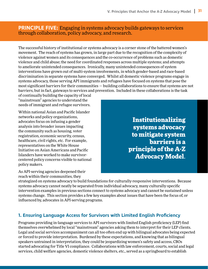#### **PRINCIPLE FIVE:** Engaging in systems advocacy builds gateways to services through collaboration, policy advocacy, and research.

The successful history of institutional or systems advocacy is a corner stone of the battered women's movement. The reach of systems has grown, in large part due to the recognition of the complexity of violence against women and its consequences and the co-occurrence of problems such as domestic violence and child abuse; the need for coordinated responses across multiple systems; and attempts to ameliorate unintended consequences. Ironically, many unintended consequences of system interventions have grown out of multi-system involvements, in which gender-based and race-based discrimination in separate systems have converged. Whilst all domestic violence programs engage in systems advocacy, those serving API immigrants and refugees have focused on systems that pose the most significant barriers for their communities — building collaborations to ensure that systems are not barriers, but in fact, gateways to services and prevention. Included in these collaborations is the task

of continually building the capacity of local "mainstream" agencies to understand the needs of immigrant and refugee survivors.

Within national Asian and Pacific Islander networks and policy organizations, advocates focus on infusing a gender analysis into broader issues impacting the community such as housing, voter registration, economic security, census, healthcare, civil rights, etc. For example, representatives on the White House Initiative on Asian Americans and Pacific Islanders have worked to make survivorcentered policy concerns visible to national policy makers.

As API-serving agencies deepened their reach within their communities, they

Institutionalizing systems advocacy to mitigate system barriers is a principle of the A-Z Advocacy Model.

strategized on systems advocacy to build foundations for culturally-responsive interventions. Because systems advocacy cannot neatly be separated from individual advocacy, many culturally-specific intervention examples in previous sections connect to systems advocacy and cannot be sustained unless systems change. This section provides a few key examples about issues that have been the focus of, or influenced by, advocates in API-serving programs.

#### **1. Ensuring Language Access for Survivors with Limited English Proficiency**

Programs providing in-language services to API survivors with limited English proficiency (LEP) find themselves overwhelmed by local "mainstream" agencies asking them to interpret for their LEP clients. Legal and social services accompaniment can all too often end up with bilingual advocates being expected or forced to provide interpretation. Burdened by these expectations, and knowing that as bilingual speakers untrained in interpretation, they could be jeopardizing women's safety and access, CBOs started advocating for Title VI compliance. Collaborations with law enforcement, courts, social and legal services, child welfare agencies, domestic violence shelters, etc., served as a springboard to establish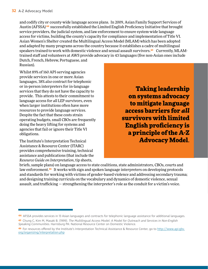and codify city or county-wide language access plans. In 2009, Asian Family Support Services of Austin (AFSSA) <sup>44</sup> successfully established the Limited English Proficiency Initiative that brought service providers, the judicial system, and law enforcement to ensure system-wide language access for victims, building the county's capacity for compliance and implementation of Title VI. Asian Women's Shelter created the Multilingual Access Model (MLAM) which has been adopted and adapted by many programs across the country because it establishes a cadre of multilingual speakers trained to work with domestic violence and sexual assault survivors.<sup>45</sup> Currently, MLAMtrained staff and volunteers at AWS provide advocacy in 43 languages (five non-Asian ones include Dutch, French, Hebrew, Portuguese, and Russian).

Whilst 89% of 160 API-serving agencies provide services in one or more Asian languages, 38% *also* contract for telephonic or in-person interpreters for in-language services that they do not have the capacity to provide. This attests to their commitment to language access for *all* LEP survivors, even when larger institutions often have more resources to provide language services. Despite the fact that these costs strain operating budgets, small CBOs are frequently doing the heavy lifting for systems and agencies that fail or ignore their Title VI obligations.

The Institute's Interpretation Technical Assistance & Resource Center (ITARC) provides comprehensive training, technical assistance and publications (that include the *Resource Guide on Interpretation*, tip sheets,

Taking leadership on systems advocacy to mitigate language access barriers for *all* survivors with limited English proficiency is a principle of the A-Z Advocacy Model.

briefs, sample plans) on language access to state coalitions, state administrators, CBOs, courts and law enforcement.<sup>46</sup> It works with sign and spoken language interpreters on developing protocols and standards for working with victims of gender-based violence and addressing secondary trauma; and designing training curricula on the vocabulary and dynamics of domestic violence, sexual assault, and trafficking — strengthening the interpreter's role as the conduit for a victim's voice.

<sup>44</sup> AFSSA provides services in 13 Asian languages and contracts for telephonic language assistance for additional languages.

<sup>45</sup> Chung C, Kim M, Masaki B. (1999). The Multilingual Access Model: A Model for Outreach and Services in Non-English Speaking Communities. Harrisburg PA: National Resource Center on Domestic Violence.

<sup>46</sup> For resources offered by the Institute's Interpretation Technical Assistance & Resource Center, go to [http://www.api-gbv.](http://www.api-gbv.org/organizing/interpretation.php ) [org/organizing/interpretation.php](http://www.api-gbv.org/organizing/interpretation.php )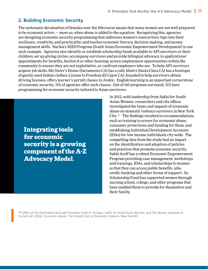#### **2. Building Economic Security**

The systematic devaluation of females over the lifecourse means that many women are not well-prepared to be economic actors — more so, when abuse is added to the equation. Recognizing this, agencies are designing economic security programming that addresses women's insecurities; taps into their resilience, creativity, and practicality; and teaches economic literacy, decision-making, and money management skills. Narika's SEED Program (South Asian Economic Empowerment Development) is one such example. Agencies also identify or establish scholarship funds available to API survivors or their children; set up giving circles; accompany survivors and provide bilingual advocacy in applications/ appointments for benefits, Section 8 or other housing; screen employment opportunities within the community to ensure they are not exploitative, or confront employers who are. To help API survivors acquire job skills, My Sister's House (Sacramento CA) has a café; Maitri (Santa Clara CA) has a boutique of gently-used Indian clothes; License to Freedom (El Cajon CA), founded to help survivors obtain driving licenses, offers learner's permit classes in Arabic. English learning is an important cornerstone of economic security; 31% of agencies offer such classes. Out of 160 programs surveyed, 31% have programming for economic security tailored to Asian survivors.

Integrating tools for economic security is a growing component of the A-Z Advocacy Model.

In 2012, with leadership from Sakhi for South Asian Women, researchers and city offices investigated the types and impacts of economic abuse on domestic violence survivors in New York City.<sup>47</sup> The findings resulted in recommendations such as training to screen for economic abuse, consumer protections and funding for them, and establishing Individual Development Accounts (IDAs) for low income individuals city-wide. The compelling data from the study had an impact on the identification and adoption of policies and practices that promote economic security. Sakhi itself has a robust Economic Empowerment Program providing case management, workshops and trainings, IDAs, and scholarships to women so that they can access public benefits, jobs, credit, banking and other forms of support. Its Scholarship Fund has supported women through nursing school, college, and other programs that have enabled them to provide for themselves and their family.

47 Office of the Manhattan Borough President Scott M. Stringer, Sakhi for South Asian Women, and The Worker Institute at Cornell ILR. (2012). Economic Abuse: The Untold Cost of Domestic Violence. New York NY.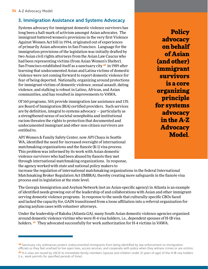#### **3. Immigration Assistance and Systems Advocacy**

Systems advocacy for immigrant domestic violence survivors has long been a hall-mark of activism amongst Asian advocates. The immigrant battered women's provisions in the very first Violence Against Women Act bill in 1994, originated out of experiences of primarily Asian advocates in San Francisco. Language for the immigration provisions of the legislation was initially drafted by two Asian civil rights attorneys from the Asian Law Caucus who had been representing victims (from Asian Women's Shelter). San Francisco established itself as a sanctuary city <sup>48</sup> in 1989 after learning that undocumented Asian and Latina victims of domestic violence were not coming forward to report domestic violence for fear of being deported. Nationally, organizing around protections for immigrant victims of domestic violence, sexual assault, dating violence, and stalking is robust in Latino, African, and Asian communities, and has resulted in improvements to VAWA.

Of 160 programs, 56% provide immigration law assistance and 13% are Board of Immigration (BIA) certified providers. Such services are by definition, integral to systems advocacy — particularly as a strengthened nexus of societal xenophobia and institutional racism threaten the rights to protection that documented and undocumented immigrant and other non-citizen survivors are entitled to.

API Women & Family Safety Center, now API Chaya in Seattle WA, identified the need for increased oversight of international matchmaking organizations and the fiancée (K-1) visa process. This problem was informed by its work with Asian domestic violence survivors who had been abused by fiancés they met through international matchmaking organizations. In response, the agency worked with state and national policy makers to

**Policy** advocacy on behalf of Asian (and other) immigrant survivors is a core organizing principle for systems advocacy in the A-Z **Advocacy** Model.

increase the regulation of international matchmaking organizations in the federal International Matchmaking Broker Regulation Act (IMBRA), thereby creating more safeguards in the fiancée visa process and in legislation at the state level.

The Georgia Immigration and Asylum Network (not an Asian-specific agency) in Atlanta is an example of identified needs growing out of the leadership of and collaborations with Asian and other immigrantserving domestic violence programs. In response to the needs that culturally-specific CBOs faced and lacked the capacity for, GAIN transitioned from a loose affiliation into a referral organization for placing asylum cases with volunteer attorneys.

Under the leadership of Raksha (Atlanta GA), many South Asian domestic violence agencies organized around domestic violence victims who were H-4 visa holders, i.e., dependent spouses of H-1B visa holders.<sup>49</sup> They advocated successfully for work authorization for H-4 victims in VAWA.

<sup>48</sup> Sanctuary city ordinances protect undocumented immigrants from being identified by law enforcement to immigration officials so they feel unafraid to live open lives, access services, and cooperate with police when they witness crimes or are victims.

<sup>49</sup> H-4 visas are issued by USCIS to immediate family members (spouse and children under 21 years of age) of the H-1B visa holders (i.e., work permits for specified periods of time).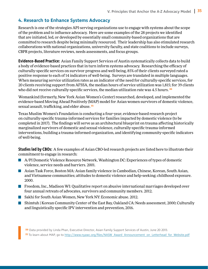#### **4. Research to Enhance Systems Advocacy**

Research is one of the strategies API-serving organizations use to engage with systems about the scope of the problem and to influence advocacy. Here are some examples of the 28 projects we identified that are initiated, led, or developed by essentially small community-based organizations that are committed to research despite being minimally resourced. Their leadership has also stimulated research collaborations with national organizations, university faculty, and state coalitions to include surveys, CBPR projects, literature reviews, needs assessments, and focus groups.

**Evidence-Based Practice**: Asian Family Support Services of Austin systematically collects data to build a body of evidence-based practices that in turn inform systems advocacy. Researching the efficacy of culturally-specific services on survivor progress and well-being, 85% of their clients surveyed rated a positive response to each of 14 indicators of well-being. Surveys are translated in multiple languages. When measuring service utilization rates as an indicator of the need for culturally-specific services, for 20 clients receiving support from AFSSA, the median hours of service utilization was 1,815; for 39 clients who did not receive culturally-specific services, the median utilization rate was 4.5 hours. <sup>50</sup>

Womankind (formerly, New York Asian Women's Center) researched, developed, and implemented the evidence-based Moving Ahead Positively (MAP) model for Asian women survivors of domestic violence, sexual assault, trafficking, and elder abuse.<sup>51</sup>

Texas Muslim Women's Foundation is conducting a four-year, evidence-based research project on culturally-specific trauma-informed services for families impacted by domestic violence (to be completed in 2017). The findings will serve as an architectural blueprint on trauma affecting historically marginalized survivors of domestic and sexual violence, culturally-specific trauma-informed interventions, building a trauma-informed organization, and identifying community-specific indicators of well-being.

**Studies led by CBOs**: A few examples of Asian CBO-led research projects are listed here to illustrate their commitment to engage in research:

- A/PI Domestic Violence Resource Network, Washington DC: Experiences of types of domestic violence, service needs and barriers. 2001.
- Asian Task Force, Boston MA: Asian family violence in Cambodian, Chinese, Korean, South Asian, and Vietnamese communities; attitudes to domestic violence and help-seeking; childhood exposure. 2000.
- **Freedom, Inc., Madison WI: Qualitative report on abusive international marriages developed over** four annual retreats of advocates, survivors and community members. 2012.
- **Sakhi for South Asian Women, New York NY: Economic abuse. 2012.**
- Shimtuh | Korean Community Center of the East Bay, Oakland CA: Needs assessment, 2000; Culturally and linguistically specific IPV intervention and prevention, 2016.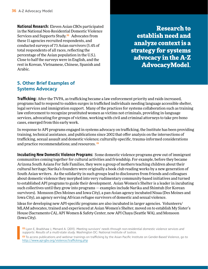**National Research**: Eleven Asian CBOs participated in the National Non-Residential Domestic Violence Services and Supports Study.<sup>52</sup> Advocates from these 11 agencies recruited respondents, and conducted surveys of 73 Asian survivors (5.4% of total respondents of all races, reflecting the percentage of the Asian population in the U.S.). Close to half the surveys were in English, and the rest in Korean, Vietnamese, Chinese, Spanish and Arabic.

Research to establish need and analyze context is a strategy for systems advocacy in the A-Z AdvocacyModel.

#### **5. Other Brief Examples of Systems Advocacy**

**Trafficking**: After the TVPA, as trafficking became a law enforcement priority and raids increased, programs had to respond to sudden surges in trafficked individuals needing language accessible shelter, legal services and immigration support. Many of the practices for systems collaboration such as training law enforcement to recognize prostituted women as victims not criminals, providing in-language services, advocating for groups of victims, working with civil and criminal attorneys to take pro bono cases, emerged from this early work.

In response to API programs engaged in systems advocacy on trafficking, the Institute has been providing training, technical assistance, and publications since 2002 that offer analysis on the intersections of trafficking, sexual assault and domestic violence; culturally-specific, trauma-informed considerations and practice recommendations; and resources.<sup>53</sup>

**Incubating New Domestic Violence Programs**: Some domestic violence programs grew out of immigrant communities coming together for cultural activities and friendship. For example, before they became Arizona South Asians For Safe Families, they were a group of mothers teaching children about their cultural heritage; Narika's founders were originally a book club reading works by a new generation of South Asian writers. As the solidarity in such groups lead to disclosures from friends and colleagues about domestic violence they morphed into very rudimentary community-based initiatives and turned to established API programs to guide their development. Asian Women's Shelter is a leader in incubating such collectives until they grow into programs — examples include Narika and Shimtuh (for Korean survivors). Monsoon (Des Moines and Iowa City), a pan-Asian agency incubated Nisaa (Des Moines and Iowa City), an agency serving African refugee survivors of domestic and sexual violence.

Ideas for developing new API-specific programs are also incubated in larger agencies. Volunteers/ MLAM advocates, trained and experienced at Asian Women's Shelter, moved on to establish My Sister's House (Sacramento CA), API Women & Safety Center, now API Chaya (Seattle WA), and Monsoon (Iowa City).

52 Lyon E, Bradshaw J, Menard A. (2011). Meeting survivors' needs through non-residential domestic violence services and supports: Results of a multi-state study. Washington DC: National Institute of Justice.

53 To access publications and webinar trainings on trafficking by the Asian Pacific Institute on Gender-Based Violence, go to [http://www.api-gbv.org/violence/trafficking.php](http://www.api-gbv.org/violence/trafficking.php  )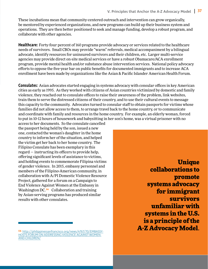These incubations mean that community-centered outreach and intervention can grow organically, be mentored by experienced organizations, and new programs can build up their business system and operations. They are then better positioned to seek and manage funding, develop a robust program, and collaborate with other agencies.

**Healthcare**: Forty-four percent of 160 programs provide advocacy or services related to the healthcare needs of survivors. Small CBOs may provide "warm" referrals, medical accompaniment by a bilingual advocate, identify resources for uninsured survivors and their children, etc. Larger multi-service agencies may provide direct on-site medical services or have a robust Obamacare/ACA enrollment program, provide mental health and/or substance abuse intervention services. National policy advocacy efforts to oppose the five-year bar on public benefits for documented immigrants and to increase ACA enrollment have been made by organizations like the Asian & Pacific Islander American Health Forum.

**Consulates**: Asian advocates started engaging in systems advocacy with consular offices in key American cities as early as 1995. As they worked with citizens of Asian countries victimized by domestic and family violence, they reached out to consulate offices to raise their awareness of the problem, link websites, train them to serve the distressed citizens of their country, and to use their cultural events to message this capacity to the community. Advocates turned to consular staff to obtain passports for victims whose families did not allow access to them, to arrange travel back to the home country, or to communicate and coordinate with family and resources in the home country. For example, an elderly woman, forced to put in 10-12 hours of housework and babysitting in her son's home, was a virtual prisoner with no

access to her documents. So the consulate cancelled the passport being held by the son, issued a new one, contacted the woman's daughter in the home country to inform her of the situation, and helped the victim get her back to her home country. The Filipino Consulate has been exemplary in this regard — instructing its officers to provide help, offering significant levels of assistance to victims, and holding events to commemorate Filipina victims of gender violence. In 2015, embassy personnel and members of the Filipino-American community, in collaboration with A/PI Domestic Violence Resource Project, gathered for a forum on a Campaign to End Violence Against Women at the Embassy in Washington DC.<sup>54</sup> Collaboration and training by Asian-serving programs has produced similar results with other consulates.

54 [http://philippinessanfrancisco.org/news/4767/70/EMBASSY-](http://philippinessanfrancisco.org/news/4767/70/EMBASSY-HOSTS-FORUM-ON-ADDRESSING-VIOLENCE-AGAINST-WOMEN-AND-CHILDREN/)[HOSTS-FORUM-ON-ADDRESSING-VIOLENCE-AGAINST-WOMEN-](http://philippinessanfrancisco.org/news/4767/70/EMBASSY-HOSTS-FORUM-ON-ADDRESSING-VIOLENCE-AGAINST-WOMEN-AND-CHILDREN/)[AND-CHILDREN/](http://philippinessanfrancisco.org/news/4767/70/EMBASSY-HOSTS-FORUM-ON-ADDRESSING-VIOLENCE-AGAINST-WOMEN-AND-CHILDREN/)

**Unique** collaborations to promote systems advocacy for immigrant survivors unfamiliar with systems in the U.S. is a principle of the A-Z Advocacy Model.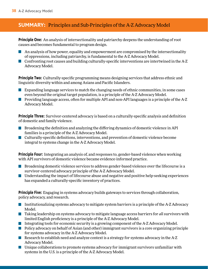#### **SUMMARY:** Principles and Sub-Principles of the A-Z Advocacy Model

**Principle One**: An analysis of intersectionality and patriarchy deepens the understanding of root causes and becomes fundamental to program design.

- An analysis of how power, equality and empowerment are compromised by the intersectionality of oppressions, including patriarchy, is fundamental to the A-Z Advocacy Model.
- Confronting root causes and building culturally-specific interventions are intertwined in the A-Z Advocacy Model.

**Principle Two**: Culturally-specific programming means designing services that address ethnic and linguistic diversity within and among Asians and Pacific Islanders.

- Expanding language services to match the changing needs of ethnic communities, in some cases even beyond the original target population, is a principle of the A-Z Advocacy Model.
- **Providing language access, often for multiple API and non-API languages is a principle of the A-Z** Advocacy Model.

**Principle Three**: Survivor-centered advocacy is based on a culturally-specific analysis and definition of domestic and family violence.

- $\blacksquare$  Broadening the definition and analyzing the differing dynamics of domestic violence in API families is a principle of the A-Z Advocacy Model.
- Culturally-specific definitions, interventions, and prevention of domestic violence become integral to systems change in the A-Z Advocacy Model.

**Principle Four**: Integrating an analysis of, and responses to, gender-based violence when working with API survivors of domestic violence became evidence-informed practice.

- **Broadening domestic violence services to address gender-based violence over the lifecourse is a** survivor-centered advocacy principle of the A-Z Advocacy Model.
- Understanding the impact of lifecourse abuse and negative and positive help-seeking experiences has expanded a culturally-specific inventory of practices.

**Principle Five**: Engaging in systems advocacy builds gateways to services through collaboration, policy advocacy, and research.

- Institutionalizing systems advocacy to mitigate system barriers is a principle of the A-Z Advocacy Model.
- Taking leadership on systems advocacy to mitigate language access barriers for *all* survivors with limited English proficiency is a principle of the A-Z Advocacy Model.
- Integrating tools for economic security is a growing component of the A-Z Advocacy Model.
- **Policy advocacy on behalf of Asian (and other) immigrant survivors is a core organizing principle** for systems advocacy in the A-Z Advocacy Model.
- Research to establish need and analyze context is a strategy for systems advocacy in the A-Z Advocacy Model.
- $\mathcal{L}^{\text{max}}$ Unique collaborations to promote systems advocacy for immigrant survivors unfamiliar with systems in the U.S. is a principle of the A-Z Advocacy Model.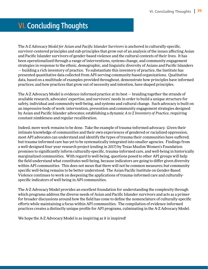# **VI. Concluding Thoughts**

The *A-Z Advocacy Model for Asian and Pacific Islander Survivors* is anchored in culturally-specific, survivor-centered principles and sub-principles that grow out of an analysis of the issues affecting Asian and Pacific Islander survivors of gender-based violence and the cultural contexts of their lives. It has been operationalized through a range of interventions, systems change, and community engagement strategies in response to the ethnic, demographic, and linguistic diversity of Asians and Pacific Islanders — building a rich inventory of practice. To substantiate this inventory of practice, the Institute has presented quantitative data collected from API-serving community-based organizations. Qualitative data, based on a multitude of examples provided throughout, demonstrate how principles have informed practices; and how practices that grow out of necessity and intention, have shaped principles.

The A-Z Advocacy Model is evidence-informed practice at its best — braiding together the strands of available research, advocates' expertise, and survivors' needs in order to build a unique structure for safety, individual and community well-being, and systems and cultural change. Such advocacy is built on an impressive body of work: intervention, prevention and community engagement strategies designed by Asian and Pacific Islander advocates; establishing a dynamic *A to Z Inventory of Practice*, requiring constant nimbleness and regular recalibration.

Indeed, more work remains to be done. Take the example of trauma-informed advocacy. Given their intimate knowledge of communities and their own experiences of gendered or racialized oppression, most API advocates can understand and identify the types of trauma their communities have suffered; but trauma-informed care has yet to be systematically integrated into smaller agencies. Findings from a well-designed four-year research project (ending in 2017) by Texas Muslim Women's Foundation promises to significantly inform culturally-specific, trauma-informed care, and well-being in historically marginalized communities. With regard to well-being, questions posed to other API groups will help the field understand what constitutes well-being, because indicators are going to differ given diversity within API communities. This does not mean that there will not be common measures; but community specific well-being remains to be better understood. The Asian Pacific Institute on Gender-Based Violence continues to work on deepening the applications of trauma-informed care and culturallyspecific indicators of well-being in API communities.

The A-Z Advocacy Model provides an excellent foundation for understanding the complexity through which programs address the diverse needs of Asian and Pacific Islander survivors and acts as a primer for broader discussions around how the field has come to define the nomenclature of culturally-specific efforts while maintaining a focus within API communities. The compilation of evidence-informed practices creates a distinctly unique profile for API programs, culminating in the A-Z Advocacy Model.

We hope the A-Z Advocacy Model is as inspiring as it is inspired!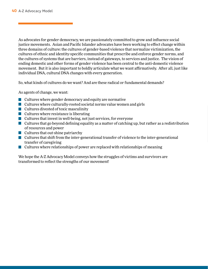As advocates for gender democracy, we are passionately committed to grow and influence social justice movements. Asian and Pacific Islander advocates have been working to effect change within three domains of culture: the cultures of gender-based violence that normalize victimization, the cultures of ethnic and identity-specific communities that prescribe and enforce gender norms, and the cultures of systems that are barriers, instead of gateways, to services and justice. The vision of ending domestic and other forms of gender violence has been central to the anti-domestic violence movement. But it is also important to boldly articulate what we want affirmatively. After all, just like individual DNA, cultural DNA changes with every generation.

So, what kinds of cultures do we want? And are these radical or fundamental demands?

As agents of change, we want:

- $\blacksquare$  Cultures where gender democracy and equity are normative
- $\blacksquare$  Cultures where culturally-rooted societal norms value women and girls
- **Cultures divested of toxic masculinity**
- $\blacksquare$  Cultures where resistance is liberating
- **Cultures that invest in well-being, not just services, for everyone**
- Cultures that go beyond defining equality as a matter of catching up, but rather as a redistribution of resources and power
- $\blacksquare$  Cultures that out-shine patriarchy
- $\blacksquare$  Cultures that shift from the inter-generational transfer of violence to the inter-generational transfer of caregiving
- $\blacksquare$  Cultures where relationships of power are replaced with relationships of meaning

We hope the A-Z Advocacy Model conveys how the struggles of victims and survivors are transformed to reflect the strengths of our movement!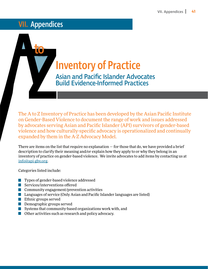# VII. Appendices

to

# Inventory of Practice<br>Asian and Pacific Islander Advoce<br>Build Evidence-Informed Practice Asian and Pacific Islander Advocates

Build Evidence-Informed Practices

The A to Z Inventory of Practice has been developed by the Asian Pacific Institute on Gender-Based Violence to document the range of work and issues addressed by advocates serving Asian and Pacific Islander (API) survivors of gender-based violence and how culturally-specific advocacy is operationalized and continually expanded by them in the A-Z Advocacy Model.

There are items on the list that require no explanation  $-$  for those that do, we have provided a brief description to clarify their meaning and/or explain how they apply to or why they belong in an inventory of practice on gender-based violence. We invite advocates to add items by contacting us at [info@api-gbv.org.](mailto:info%40api-gbv.org.?subject=)

Categories listed include:

- Types of gender-based violence addressed  $\mathcal{L}^{\text{max}}$
- Services/interventions offered
- **Community engagement/prevention activities**
- **Languages of service (Only Asian and Pacific Islander languages are listed)**
- **Ethnic groups served**
- **Demographic groups served**
- $\blacksquare$  Systems that community-based organizations work with, and
- Other activities such as research and policy advocacy.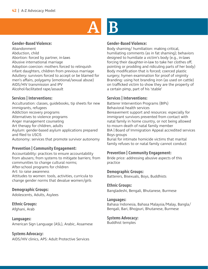# A B

#### **Gender-Based Violence:**

Abandonment Abduction, child Abortion: forced by partner, in-laws Abusive international marriage Adoption coercion: mothers forced to relinquish infant daughters, children from previous marriage Adultery: survivors forced to accept or be blamed for men's affairs, polygamy (emotional/sexual abuse) AIDS/HIV transmission and IPV Alcohol-facilitated rape/assault

#### **Services | Interventions:**

Acculturation: classes, guidebooks, tip sheets for new immigrants, refugees Addiction recovery programs Alternatives to violence programs Anger management counseling Art therapy for children, adults Asylum: gender-based asylum applications prepared and filed to USCIS Autonomy: services that promote survivor autonomy

#### **Prevention | Community Engagement:**

Accountability: practices to ensure accountability from abusers; from systems to mitigate barriers; from communities to change cultural norms; After-school programs for children Art: to raise awareness Attitudes to women: tools, activities, curricula to change gender norms that devalue women/girls

#### **Demographic Groups:**

Adolescents, Adults, Asylees

**Ethnic Groups:** Afghani, Arab

**Languages:** American Sign Language (ASL), Arabic, Assamese

**Systems Advocacy:** AIDS/HIV clinics, APS: Adult Protective Services

#### **Gender-Based Violence:**

Body shaming/ humiliation: making critical, humiliating comments (as in fat shaming); behaviors designed to humiliate a victim's body (e.g., in-laws forcing their daughter-in-law to take her clothes off, pointing or prodding and ridiculing parts of her body) Body modification that is forced; coerced plastic surgery; hymen examination for proof of virginity Branding: using hot branding iron (as used on cattle) on trafficked victim to show they are the property of a certain pimp, part of his 'stable'

#### **Services | Interventions:**

Batterer Intervention Programs (BIPs) Behavioral health services Bereavement support and resources: especially for immigrant survivors prevented from contact with natal family in home country, or not being allowed to mourn death of natal family member BIA | Board of Immigration Appeal accredited services Boys groups Burial for intimate homicide victims that marital family refuses to or natal family cannot conduct

#### **Prevention | Community Engagement:**

Bride price: addressing abusive aspects of this practice

#### **Demographic Groups:**

Batterers, Bisexuals, Boys, Buddhists

#### **Ethnic Groups:**

Bangladeshi, Bengali, Bhutanese, Burmese

#### **Languages:**

Bahasa Indonesia, Bahasa Malaysia/Malay, Bangla/ Bengali, Bari, Bhojpuri, Bhutanese, Burmese

#### **Systems Advocacy:**

Buddhist temples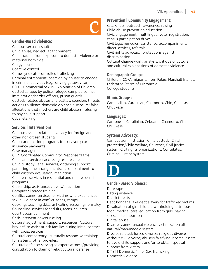

#### **Gender-Based Violence:**

Campus sexual assault Child abuse, neglect, abandonment Child trauma from exposure to domestic violence or

maternal homicide

Clergy abuse

Coercive control

Crime-syndicate controlled trafficking

Criminal entrapment: coercion by abuser to engage in criminal activities (e.g., driving getaway car) CSEC | Commercial Sexual Exploitation of Children Custodial rape: by police, refugee camp personnel, immigration/border officers, prison guards Custody-related abuses and battles: coercion, threats, actions to silence domestic violence disclosure; false allegations that mothers are child abusers; refusing to pay child support Cyber-stalking

#### **Services | Interventions:**

Campus assault-related advocacy for foreign and other non-citizen students Cars: car donation programs for survivors; car

insurance payments

Case management

CCR: Coordinated Community Response teams Childcare: services; accessing respite care

Child custody: legal services; obtaining support; parenting time arrangements; accompaniment to child custody evaluation, mediation

Children's services in residential and non-residential programs

Citizenship: assistance; classes/education Computer literacy training

Conflict zones: services for victims who experienced

sexual violence in conflict zones, camps

Cooking: teaching skills; as healing, restoring normalcy Counseling services for adults, teens, children

Court accompaniment

Crisis intervention/counseling

Cultural adjustment: support, resources, "cultural brokers" to assist at-risk families during initial contact with social services

Cultural competency | culturally-responsive trainings for systems, other providers

Cultural defense: serving as expert witness/providing consultation to claim or rebut cultural defense

#### **Prevention | Community Engagement:**

Chai Chats: outreach, awareness raising Child abuse prevention education Civic engagement: multilingual voter registration, census participation drives Civil legal remedies: assistance, accompaniment, direct services, referrals Civil rights advocacy: protections against discrimination Cultural change work: analysis, critique of culture and cultural explanations of domestic violence

#### **Demographic Groups:**

Children, COFA migrants from Palau, Marshall Islands, Federated States of Micronesia College students

#### **Ethnic Groups:**

Cambodian, Carolinian, Chamorro, Chin, Chinese, Chuukese

#### **Languages:**

Cantonese, Carolinian, Cebuano, Chamorro, Chin, Chuukese

#### **Systems Advocacy:**

Campus administration, Child custody, Child protection/Child welfare, Churches, Civil justice system, Civil rights organizations, Consulates, Criminal justice system



#### **Gender-Based Violence:**

Date rape

Dating violence

Death threats

Debt bondage, aka debt slavery for trafficked victims Devaluation of girl children: withholding nutritious food, medical care, education from girls; having sex-selected abortion

Digital abuse

Disaster zones: sexual violence victimization after natural/man-made disasters

Divorce-related: forced divorce; religious divorce without civil divorce; abusers falsifying income, assets to avoid child support and/or to obtain spousal

support from victim DMST | Domestic Minor Sex Trafficking Domestic violence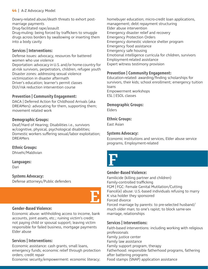#### **44** | A-Z Advocacy Model

Dowry-related abuse/death threats to exhort postmarriage payments Drug-facilitated rape/assault

Drug-muling: being forced by traffickers to smuggle drugs across borders by swallowing or inserting them into a body cavity

#### **Services | Interventions:**

Defense issues: advocacy, resources for battered women who use violence Deportation: advocacy in U.S. and/or home country for at-risk survivors, perpetrators, children, refugee youth Disaster zones: addressing sexual violence victimization in disaster aftermath Driver's education; learner's permit classes DUI/risk reduction intervention course

#### **Prevention | Community Engagement:**

DACA | Deferred Action for Childhood Arrivals (aka DREAMers): advocating for them, supporting them; movement related work

#### **Demographic Groups:**

Deaf/Hard of Hearing; Disabilities i.e., survivors w/cognitive, physical, psychological disabilities; Domestic workers suffering sexual/labor exploitation; DREAMers

**Ethnic Groups:** Dhivehi/Maldivian

**Languages:** Dari

**Systems Advocacy:**

Defense attorneys/Public defenders



Economic abuse: withholding access to income, bank accounts, joint assets, etc.; ruining victim's credit; not paying child or spousal support; leaving victim responsible for failed business, mortgage payments Elder abuse

#### **Services | Interventions:**

Economic assistance: cash grants, small loans, emergency funds; economic relief through protection orders; credit repair

Economic security/empowerment: economic literacy;

homebuyer education; micro-credit loan applications, management; debt repayment structuring Elder abuse intervention Emergency disaster relief and recovery Emergency Protection Orders Emergency domestic violence shelter program Emergency food assistance Emergency safe housing Emotional intelligence curricula for children, survivors Employment-related assistance Expert witness testimony provision

#### **Prevention | Community Engagement:**

Education-related: awarding/finding scholarships for survivors, their kids; school enrollment; emergency tuition loans Empowerment workshops ESL | ESOL classes

#### **Demographic Groups:**

Elders

#### **Ethnic Groups:**

East Asian

#### **Systems Advocacy:**

Economic institutions and services, Elder abuse service programs, Employment-related



E

#### **Gender-Based Violence:**

Familicide (killing partner and children) Family-controlled trafficking FGM | FGC: Female Genital Mutilation/Cutting Fiancé(e) abuse: U.S.-based individuals refusing to marry K visa holder they sponsored Forced divorce Forced marriage by parents: to pre-selected husband/ much older man; to one's rapist; to block same-sex marriage, relationships

#### **Services | Interventions:**

Faith-based interventions: including working with religious professionals Family justice center Family law assistance Family support program, therapy Fatherhood: responsible fatherhood programs, fathering after battering programs Food stamps (SNAP) application assistance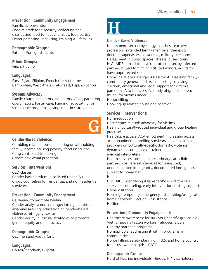#### **Prevention | Community Engagement:**

Familicide prevention Food-related: food security, collecting and distributing food to needy families, food pantry Foster-parenting: recruiting, training API families

#### **Demographic Groups:**

Fathers, Foreign students

#### **Ethnic Groups:**

Fijian, Filipino

#### **Languages:**

Farsi, Fijian, Filipino, French (for Vietnamese, Cambodian, West African refugees), Fujian, Fuzhou

#### **Systems Advocacy:**

Family courts: mediators, evaluators, GALs, parenting coordinators, Foster care, Funding: advocating for sustainable programs, giving input in state plans



#### **Gender-Based Violence:**

Gambling-related abuse: depleting or withholding family income causing poverty, food insecurity Gang-controlled trafficking Grooming/Sexual predation

#### **Services | Interventions:**

GED classes

Gender-based asylum (also listed under 'A') Group counseling for residential and non-residential survivors

#### **Prevention | Community Engagement:**

Gardening to promote healing Gender analysis: norm change; inter-generational awareness-raising; education on gender-based violence, misogyny, sexism Gender equity: curricula, strategies to promote gender equity and democracy

#### **Demographic Groups:**

Gay men and youth, Girls

**Languages:** Gouyu/Mandarin, Gujarati

# $\overline{\mathbf{H}}$

#### **Gender-Based Violence:**

Harassment, sexual: by clergy, coaches, teachers, professors, extended family members, therapists, doctors, supervisors, co-workers, military personnel Harassment in public spaces: streets, buses, trains HIV | AIDS: forced to have unprotected sex by infected partner; buyers forcing prostituted minors, adults to have unprotected sex

Homicide-related: Danger Assessment; assessing family-, community-generated risks; supporting surviving children; emotional and legal support for victim's parents in Asia for access/custody of grandchildren; (burial for victims under 'B') Honor killing

Hooking-up related abuse and coercion

#### **Services | Interventions:**

Harm-reduction

Hate crimes-related: advocacy for victims Healing: culturally-rooted individual and group healing practices

Healthcare access: ACA enrollment, increasing access, accompaniment, enrolling survivors' children, training providers on culturally-specific domestic violence dynamics, ensuring use of trained

medical interpreters

Health services: on-site clinics; primary care clinic partnerships; referrals/services for uninsured, undocumented immigrants, documented immigrants subject to 5-year bar

Helpline

HIV | AIDS: identifying Asian-specific risk-factors for survivors, counseling, early intervention, testing support Home visitation

Housing: temporary, emergency, establishing/using safe home networks, Section 8 assistance Hotline

#### **Prevention | Community Engagement:**

Healthcare awareness: for survivors, specific groups e.g., Vietnamese nail salon workers, refugees, elders Healthy marriage programs Homophobia: addressing it within programs, in communities Honor killing: safety planning in U.S. and home country for at-risk women, girls, LGBTQ

#### **Demographic Groups:**

Hard of Hearing individuals, Hindus, H-4 visa holders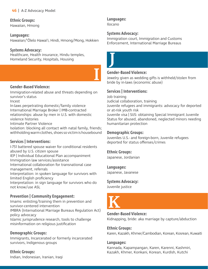#### **Ethnic Groups:**

Hawaiian, Hmong

#### **Languages:**

Hawaiian/'Ōlelo Hawai'i, Hindi, Hmong/Mong, Hokkien

#### **Systems Advocacy:**

Healthcare, Health insurance, Hindu temples, Homeland Security, Hospitals, Housing

#### **Gender-Based Violence:**

Immigration-related abuse and threats depending on survivor's status

Incest

In-laws perpetrating domestic/family violence International Marriage Broker | IMB-contracted relationships: abuse by men in U.S. with domestic violence histories

Intimate Partner Violence

Isolation: blocking all contact with natal family, friends; withholding warm clothes, shoes so victim is housebound

#### **Services | Interventions:**

I-751 battered spouse waiver for conditional residents abused by U.S. citizen spouse IEP | Individual Educational Plan accompaniment Immigration law services/assistance International collaboration for transnational case management, referrals Interpretation: in spoken language for survivors with limited English proficiency Interpretation: in sign language for survivors who do not know/use ASL

#### **Prevention | Community Engagement:**

Imams: enlisting/training them in prevention and survivor-centered intervention IMBRA (International Marriage Bureaus Regulation Act) policy advocacy Islamic jurisprudence research, tools to challenge misinformation on religious justification

#### **Demographic Groups:**

Immigrants, Incarcerated or formerly incarcerated survivors, Indigenous groups

**Ethnic Groups:** Indian, Indonesian, Iranian, Iraqi

#### **Languages:**

Ilocano

J

#### **Systems Advocacy:**

Immigration court, Immigration and Customs Enforcement, International Marriage Bureaus



#### **Gender-Based Violence:**

Jewelry given as wedding gifts is withheld/stolen from bride by in-laws (economic abuse)

#### **Services | Interventions:**

Job training

Judicial collaboration, training

Juvenile refugees and immigrants: advocacy for deported or at-risk youth risk

Juvenile visa | SIJS: obtaining Special Immigrant Juvenile Status for abused, abandoned, neglected minors needing humanitarian protection

#### **Demographic Groups:**

Juveniles U.S.- and foreign-born, Juvenile refugees deported for status offenses/crimes

#### **Ethnic Groups:**

Japanese, Jordanian

**Languages:**

Japanese, Javanese

#### **Systems Advocacy:**

Juvenile justice



#### **Gender-Based Violence:**

Kidnapping, bride: aka marriage by capture/abduction

**Ethnic Groups:** Karen, Kazakh, Khmer/Cambodian, Korean, Kosrean, Kuwaiti

#### **Languages:**

Kannada, Kapampangan, Karen, Karenni, Kashmiri, Kazakh, Khmer, Konkani, Korean, Kurdish, Kutchi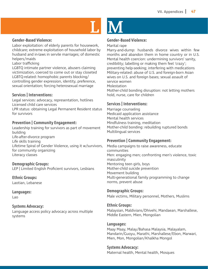

#### **Gender-Based Violence:**

Labor exploitation: of elderly parents for housework, childcare; extreme exploitation of household labor by husband and in-laws in servile marriages; of domestic helpers/maids

Labor trafficking

LGBTQ intimate partner violence, abusers claiming victimization, coerced to come out or stay closeted LGBTQ-related: homophobic parents blocking/ controlling gender expression, identity, preference, sexual orientation; forcing heterosexual marriage

#### **Services | Interventions:**

Legal services: advocacy, representation, hotlines Licensed child care services LPR status: obtaining Legal Permanent Resident status for survivors

#### **Prevention | Community Engagement:**

Leadership training for survivors as part of movement building Life-after-divorce program Life skills training Lifetime Spiral of Gender Violence, using it w/survivors, for community organizing Literacy classes

#### **Demographic Groups:**

LEP | Limited English Proficient survivors, Lesbians

**Ethnic Groups:**

Laotian, Lebanese

**Languages:**

Lao

#### **Systems Advocacy:**

Language access policy advocacy across multiple systems



#### **Gender-Based Violence:**

Marital rape

Marry-and-dump: husbands divorce wives within few months and abandon them in home country or in U.S. Mental health coercion: undermining survivors' sanity, credibility; labelling or making them feel 'crazy'; preventing help-seeking; interfering with medications Military-related: abuse of U.S. and foreign-born Asian wives on U.S. and foreign bases; sexual assault of service women Molestation

Mother-child bonding disruption: not letting mothers hold, nurse, care for children

#### **Services | Interventions:**

Marriage counseling Medicaid application assistance Mental health services Mindfulness training, meditation Mother-child bonding: rebuilding ruptured bonds Multilingual services

#### **Prevention | Community Engagement:**

Media campaigns to raise awareness, educate communities Men: engaging men; confronting men's violence, toxic masculinity Mentoring teen girls, boys Mother-child suicide prevention Movement building Multi-generational family programming to change norms, prevent abuse

#### **Demographic Groups:**

Male victims, Military personnel, Mothers, Muslims

#### **Ethnic Groups:**

Malaysian, Maldivians/Dhivehi, Mandaean, Marshallese, Middle Eastern, Mien, Mongolian

#### **Languages:**

Maay Maay, Malay/Bahasa Malaysia, Malayalam, Mandarin/Guoyu, Marathi, Marshallese/Ebon, Marwari, Mien, Mon, Mongolian/Khalkha Mongol

#### **Systems Advocacy:**

Maternal health, Mental health, Mosques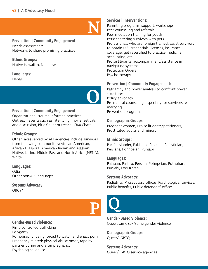

#### **Prevention | Community Engagement:**

Needs assessments Networks to share promising practices

**Ethnic Groups:** Native Hawaiian, Nepalese

**Languages:** Nepali



#### **Prevention | Community Engagement:**

Organizational trauma-informed practices Outreach events such as kite-flying, movie festivals and discussion, Blue Collar outreach, Chai Chats

#### **Ethnic Groups:**

Other races served by API agencies include survivors from following communities: African American, African Diaspora, American Indian and Alaskan Native, Latino, Middle East and North Africa (MENA), White

#### **Languages:**

Odia Other non-API languages

**Systems Advocacy: OBGYN** 



#### **Gender-Based Violence:**

Pimp-controlled trafficking Polygamy Pornography: being forced to watch and enact porn Pregnancy-related: physical abuse onset, rape by partner during and after pregnancy Psychological abuse

#### **Services | Interventions:**

Parenting programs, support, workshops Peer counseling and referrals Peer mediation training for youth Pets: sheltering survivors with pets Professionals who are foreign-trained: assist survivors to obtain U.S. credentials, licenses, insurance coverage; get recertified to practice medicine, accounting, etc. Pro se litigants: accompaniment/assistance in navigating systems Protection Orders Psychotherapy

#### **Prevention | Community Engagement:**

Patriarchy and power analysis to confront power structures Policy advocacy Pre-marital counseling, especially for survivors remarrying Prevention programs

#### **Demographic Groups:**

Pregnant women, Pro se litigants/petitioners, Prostituted adults and minors

#### **Ethnic Groups:**

Pacific Islander, Pakistani, Palauan, Palestinian, Persians, Pohnpeian, Punjabi

#### **Languages:**

Palauan, Pashto, Persian, Pohnpeian, Pothohari, Punjabi, Pwo Karen

#### **Systems Advocacy:**

Pediatrics, Prosecutors' offices, Psychological services, Public benefits, Public defenders' offices



**Gender-Based Violence:** Queer/same-sex/same-gender violence

**Demographic Groups:** Queer/LGBTQ

**Systems Advocacy:** Queer/LGBTQ service agencies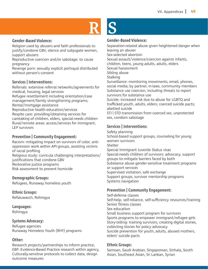# R S

#### **Gender-Based Violence:**

Religion used by abusers and faith professionals to justify/condone GBV, silence and subjugate women, support abusers

Reproductive coercion and/or sabotage: to cause pregnancy

Revenge porn: sexually explicit portrayal distributed without person's consent

#### **Services | Interventions:**

Referrals: extensive referral networks/agreements for medical, housing, legal services Refugee resettlement including orientation/case management/family strengthening programs; Rental/mortgage assistance Reproductive health education/services Respite care: providing/obtaining services for caretaking of children, elders, special-needs children Rural/remote areas: access/services for immigrant, LEP survivors

#### **Prevention | Community Engagement:**

Racism: mitigating impact on survivors of color, antioppression work within API groups, assisting victims of racial profiling Religious study: curricula challenging interpretations/ justifications that condone GBV Restorative justice programs Risk assessment to prevent homicide

#### **Demographic Groups:**

Refugees, Runaway homeless youth

**Ethnic Groups:** Refaluwasch, Rohingya

#### **Languages:**

Rohingya

#### **Systems Advocacy:**

Refugee agencies Runaway Homeless Youth (RHY) programs

#### **Other:**

Research projects/partnerships to inform practice, EBP: Evidence-Based Practice research within agency, Culturally-sensitive protocols to collect data, design outcome measures

#### **Gender-Based Violence:**

Separation-related abuse given heightened danger when leaving an abuser Sex-selected abortion Sexual assault/violence/coercion against infants, children, teens, young adults, adults, elders Sexual harassment Sibling abuse Stalking Surveillance: monitoring movements, email, phones, social media; by partner, in-laws, community members Substance use coercion, including threats to report survivors for substance use Suicide: increased risk due to abuse for LGBTQ and trafficked youth, adults, elders; coerced suicide pacts; abetted suicide STI | STD transmission from coerced sex, unprotected sex, condom sabotage

#### **Services | Interventions:**

Safety planning School-based support groups, counseling for young women survivors Shelter Special Immigrant Juvenile Status visas Special-needs children of survivors: advocacy, support groups to mitigate barriers faced by both Substance abuse gender-sensitive treatment programs or support services Supervised visitation, safe exchange Support groups, survivor mentorship programs Systems navigation

#### **Prevention | Community Engagement:**

Self-defense classes Self-help, self-reliance, self-sufficiency resources/training Senior fitness classes Sex education Small business support program for survivors Sports programs to empower immigrant/refugee girls Story-telling: training survivors, creating digital stories, collecting stories for policy advocacy Suicide prevention for youth, adults, abused mothers, elders' suicide pacts

#### **Ethnic Groups:**

Samoan, Saudi Arabian, Singaporean, Sinhala, South Asian, Southeast Asian, Sri Lankan, Syrian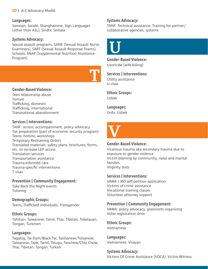#### **50** | A-Z Advocacy Model

#### **Languages:**

Samoan, Saraiki, Shanghainese, Sign Languages (other than ASL), Sindhi, Sinhala

#### **Systems Advocacy:**

Sexual assault programs, SANE (Sexual Assault Nurse Examiners), SART (Sexual Assault Response Teams), Schools, SNAP (Supplemental Nutrition Assistance Program)



#### **Gender-Based Violence:**

Teen relationship abuse Torture Trafficking, domestic Trafficking, international Transnational abandonment

#### **Services | Interventions:**

TANF: access, accompaniment, policy advocacy Tax preparation (part of economic security program) Teens: hotline, workshops Temporary Restraining Orders Translated materials: safety plans, brochures, forms, etc. to increase LEP access Translation services Transportation assistance Trauma-informed care Trauma-specific interventions T visas

#### **Prevention | Community Engagement:**

Take Back the Night events **Tutoring** 

**Demographic Groups:** Teens, Trafficked individuals, Transgender

#### **Ethnic Groups:**

Tahitian, Taiwanese, Tamil, Thai, Tibetan, Tokelauan, Tongan, Turkmen

#### **Languages:**

Tagalog, Tai Dam/Black Tai, Taishanese/Toisanese, Taiwanese, Tajik, Tamil, Telugu, Teochew/Chiu Chow, Thai, Tibetan, Tongan, Turkish

#### **Systems Advocacy:**

TANF, Technical assistance, Training for partner/ collaborative agencies, systems

# U

**Gender-Based Violence:** Uxoricide (wife-killing)

**Services | Interventions:** Utility assistance

U visas

**Ethnic Groups:** Uzbek

**Languages:** Urdu, Uzbek



#### **Gender-Based Violence:**

Vicarious trauma aka secondary trauma due to exposure to gender violence Victim-blaming by community, natal and marital families Virginity tests

#### **Services | Interventions:**

VAWA I-360 self-petition application Victims of crime assistance Vocational training classes Volunteer attorney support

#### **Prevention | Community Engagement:**

VAWA: policy advocacy, grassroots organizing Voter registration drive

**Ethnic Groups:**

Vietnamese

**Languages:** Vietnamese, Visayan

#### **Systems Advocacy:**

Victims Of Crime Assistance (VOCA), Victim-Witness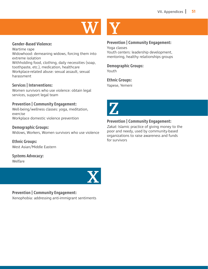

#### **Gender-Based Violence:**

Wartime rape Widowhood: demeaning widows, forcing them into extreme isolation Withholding food, clothing, daily necessities (soap, toothpaste, etc.), medication, healthcare Workplace-related abuse: sexual assault, sexual harassment

#### **Services | Interventions:**

Women survivors who use violence: obtain legal services, support legal team

#### **Prevention | Community Engagement:**

Well-being/wellness classes: yoga, meditation, exercise Workplace domestic violence prevention

#### **Demographic Groups:**

Widows, Workers, Women survivors who use violence

**Ethnic Groups:** West Asian/Middle Eastern

**Systems Advocacy:** Welfare



#### **Prevention | Community Engagement:**

Xenophobia: addressing anti-immigrant sentiments



#### **Prevention | Community Engagement:**

Yoga classes Youth centers: leadership development, mentoring, healthy relationships groups

## **Demographic Groups:**

Youth

#### **Ethnic Groups:**

Yapese, Yemeni



#### **Prevention | Community Engagement:**

Zakat: Islamic practice of giving money to the poor and needy, used by community-based organizations to raise awareness and funds for survivors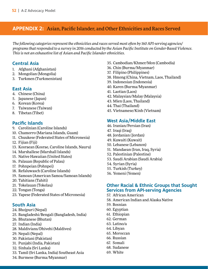#### **APPENDIX 2:** Asian, Pacific Islander, and Other Ethnicities and Races Served

*The following categories represent the ethnicities and races served most often by 160 API-serving agencies/ programs that responded to a survey in 2016 conducted by the Asian Pacific Institute on Gender-Based Violence. This is not an exhaustive list of Asian and Pacific Islander ethnicities.* 

#### **Central Asia**

- 1. Afghani (Afghanistan)
- 2. Mongolian (Mongolia)
- 3. Turkmen (Turkmenistan)

#### **East Asia**

- 4. Chinese (China)
- 5. Japanese (Japan)
- 6. Korean (Korea)
- 7. Taiwanese (Taiwan)
- 8. Tibetan (Tibet)

#### **Pacific Islands**

- 9. Carolinian (Caroline Islands)
- 10. Chamorro (Mariana Islands, Guam)
- 11. Chuukese (Federated States of Micronesia)
- 12. Fijian (Fiji)
- 13. Kosraean (Kosrae, Caroline Islands, Nauru)
- 14. Marshallese (Marshall Islands)
- 15. Native Hawaiian (United States)
- 16. Palauan (Republic of Palau)
- 17. Pohnpeian (Pohnpei)
- 18. Refaluwasch (Caroline Islands)
- 19. Samoan (American Samoa/Samoan Islands)
- 20. Tahitians (Tahiti)
- 21. Tokelauan (Tokelau)
- 22. Tongan (Tonga)
- 23. Yapese (Federated States of Micronesia)

#### **South Asia**

- 24. Bhojpuri (Nepal)
- 25. Bangladeshi/Bengali (Bangladesh, India)
- 26. Bhutanese (Bhutan)
- 27. Indian (India)
- 28. Maldivians/Dhivehi (Maldives)
- 29. Nepali (Nepal)
- 30. Pakistani (Pakistan)
- 31. Punjabi (India, Pakistan)
- 32. Sinhala (Sri Lanka)
- 33. Tamil (Sri Lanka, India) Southeast Asia
- 34. Burmese (Burma/Myanmar)
- 35. Cambodian/Khmer/Mon (Cambodia)
- 36. Chin (Burma/Myanmar)
- 37. Filipino (Philippines)
- 38. Hmong (China, Vietnam, Laos, Thailand)
- 39. Indonesian (Indonesia)
- 40. Karen (Burma/Myanmar)
- 41. Laotian (Laos)
- 42. Malaysian/Malay (Malaysia)
- 43. Mien (Laos, Thailand)
- 44. Thai (Thailand)
- 45. Vietnamese/Kinh (Vietnam)

#### **West Asia/Middle East**

- 46. Iranian/Persian (Iran)
- 47. Iraqi (Iraq)
- 48. Jordanian (Jordan)
- 49. Kuwaiti (Kuwait)
- 50. Lebanese (Lebanon)
- 51. Mandaean (Iran, Iraq, Syria)
- 52. Palestinian (Palestine)
- 53. Saudi Arabian (Saudi Arabia)
- 54. Syrian (Syria)
- 55. Turkish (Turkey)
- 56. Yemeni (Yemen)

#### **Other Racial & Ethnic Groups that Sought Services from API-serving Agencies**

- 57. African American
- 58. American Indian and Alaska Native
- 59. Bosnian
- 60. Egyptian
- 61. Ethiopian
- 62. German
- 63. Latino/a
- 64. Libyan
- 65. Moroccan
- 66. Russian
- 67. Somali
- 68. Sudanese
- 69. White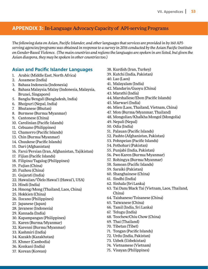#### **APPENDIX 3:** In-Language Advocacy Capacity of API-serving Programs

*The following data on Asian, Pacific Islander, and other languages that services are provided in by 160 APIserving agencies/programs was obtained in response to a survey in 2016 conducted by the Asian Pacific Institute on Gender-Based Violence. (The main countries and regions the languages are spoken in are listed, but given the Asian diaspora, they may be spoken in other countries too.)* 

#### **Asian and Pacific Islander Languages**

- 1. Arabic (Middle East, North Africa)
- 2. Assamese (India)
- 3. Bahasa Indonesia (Indonesia)
- 4. Bahasa Malaysia/Malay (Indonesia, Malaysia, Brunei, Singapore)
- 5. Bangla/Bengali (Bangladesh, India)
- 6. Bhojpuri (Nepal, India)
- 7. Bhutanese (Bhutan)
- 8. Burmese (Burma/Myanmar)
- 9. Cantonese (China)
- 10. Carolinian (Pacific Islands)
- 11. Cebuano (Philippines)
- 12. Chamorro (Pacific Islands)
- 13. Chin (Burma/Myanmar)
- 14. Chuukese (Pacific Islands)
- 15. Dari (Afghanistan)
- 16. Farsi/Persian (Iran, Afghanistan, Tajikistan)
- 17. Fijian (Pacific Islands)
- 18. Filipino/Tagalog (Philippines)
- 19. Fujian (China)
- 20. Fuzhou (China)
- 21. Gujarati (India)
- 22. Hawaiian/'Ōlelo Hawai'i (Hawai'i, USA)
- 23. Hindi (India)
- 24. Hmong/Mong (Thailand, Laos, China)
- 25. Hokkien (China)
- 26. Ilocano (Philippines)
- 27. Japanese (Japan)
- 28. Javanese (Indonesia)
- 29. Kannada (India)
- 30. Kapampangan (Philippines)
- 31. Karen (Burma/Myanmar)
- 32. Karenni (Burma/Myanmar)
- 33. Kashmiri (India)
- 34. Kazakh (Kazakhstan)
- 35. Khmer (Cambodia)
- 36. Konkani (India)
- 37. Korean (Korean)
- 38. Kurdish (Iran, Turkey)
- 39. Kutchi (India, Pakistan)
- 40. Lao (Laos)
- 41. Malayalam (India)
- 42. Mandarin/Guoyu (China)
- 43. Marathi (India)
- 44. Marshallese/Ebon (Pacific Islands)
- 45. Marwari (India)
- 46. Mien (Laos, Thailand, Vietnam, China)
- 47. Mon (Burma/Myanmar, Thailand)
- 48. Mongolian/Khalkha Mongol (Mongolia)
- 49. Nepali (Nepal)
- 50. Odia (India)
- 51. Palauan (Pacific Islands)
- 52. Pashto (Afghanistan, Pakistan)
- 53. Pohnpeian (Pacific Islands)
- 54. Pothohari (Pakistan)
- 55. Punjabi (India, Pakistan)
- 56. Pwo Karen (Burma/Myanmar)
- 57. Rohingya (Burma/Myanmar)
- 58. Samoan (Pacific Islands)
- 59. Saraiki (Pakistan)
- 60. Shanghainese (China)
- 61. Sindhi (India)
- 62. Sinhala (Sri Lanka)
- 63. Tai Dam/Black Tai (Vietnam, Laos, Thailand, China)
- 64. Taishanese/Toisanese (China)
- 65. Taiwanese (China)
- 66. Tamil (India, Sri Lanka)
- 67. Telugu (India)
- 68. Teochew/Chiu Chow (China)
- 69. Thai (Thailand)
- 70. Tibetan (Tibet)
- 71. Tongan (Pacific Islands)
- 72. Urdu (India, Pakistan)
- 73. Uzbek (Uzbekistan)
- 74. Vietnamese (Vietnam)
- 75. Visayan (Philippines)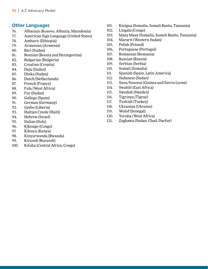#### **Other Languages**

- 76. Albanian (Kosovo, Albania, Macedonia)
- 77. American Sign Language (United States)
- 78. Amharic (Ethiopia)
- 79. Armenian (Armenia)
- 80. Bari (Sudan)
- 81. Bosnian (Bosnia and Herzegovina)
- 82. Bulgarian (Bulgaria)
- 83. Croatian (Croatia)
- 84. Daju (Sudan)
- 85. Dinka (Sudan)
- 86. Dutch (Netherlands)
- 87. French (France)
- 88. Fula (West Africa)
- 89. Fur (Sudan)
- 90. Gallego (Spain)
- 91. German (Germany)
- 92. Grebo (Liberia)
- 93. Haitian Creole (Haiti)
- 94. Hebrew (Israel)
- 95. Italian (Italy)
- 96. Kikongo (Congo)
- 97. Kikuyu (Kenya)
- 98. Kinyarwanda (Rwanda)
- 99. Kirundi (Burundi)
- 100. Kituba (Central Africa, Congo)
- 101. Kizigua (Somalia, Somali Bantu, Tanzania)
- 102. Lingala (Congo)
- 103. Maay Maay (Somalia, Somali Bantu, Tanzania)
- 104. Mararit (Western Sudan)
- 105. Polish (Poland)
- 106. Portuguese (Portugal)
- 107. Romanian (Romania)
- 108. Russian (Russia)
- 109. Serbian (Serbia)
- 110. Somali (Somalia)
- 111. Spanish (Spain, Latin America)
- 112. Sudanese (Sudan)
- 113. Susu/Sosoxui (Guinea and Sierra Leone)
- 114. Swahili (East Africa)
- 115. Swedish (Sweden)
- 116. Tigrinya (Tigray)
- 117. Turkish (Turkey)
- 118. Ukranian (Ukraine)
- 119. Wolof (Senegal)
- 120. Yoruba (West Africa)
- 121. Zaghawa (Sudan, Chad, Darfur)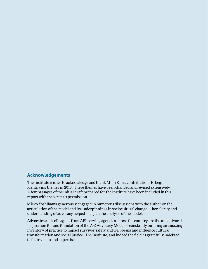#### **Acknowledgements**

The Institute wishes to acknowledge and thank Mimi Kim's contributions to begin identifying themes in 2013. These themes have been changed and revised extensively. A few passages of the initial draft prepared for the Institute have been included in this report with the writer's permission.

Mieko Yoshihama generously engaged in numerous discussions with the author on the articulation of the model and its underpinnings in sociocultural change — her clarity and understanding of advocacy helped sharpen the analysis of the model.

Advocates and colleagues from API-serving agencies across the country are the unequivocal inspiration for and foundation of the A-Z Advocacy Model — constantly building an amazing inventory of practice to impact survivor safety and well-being and influence cultural transformation and social justice. The Institute, and indeed the field, is gratefully indebted to their vision and expertise.